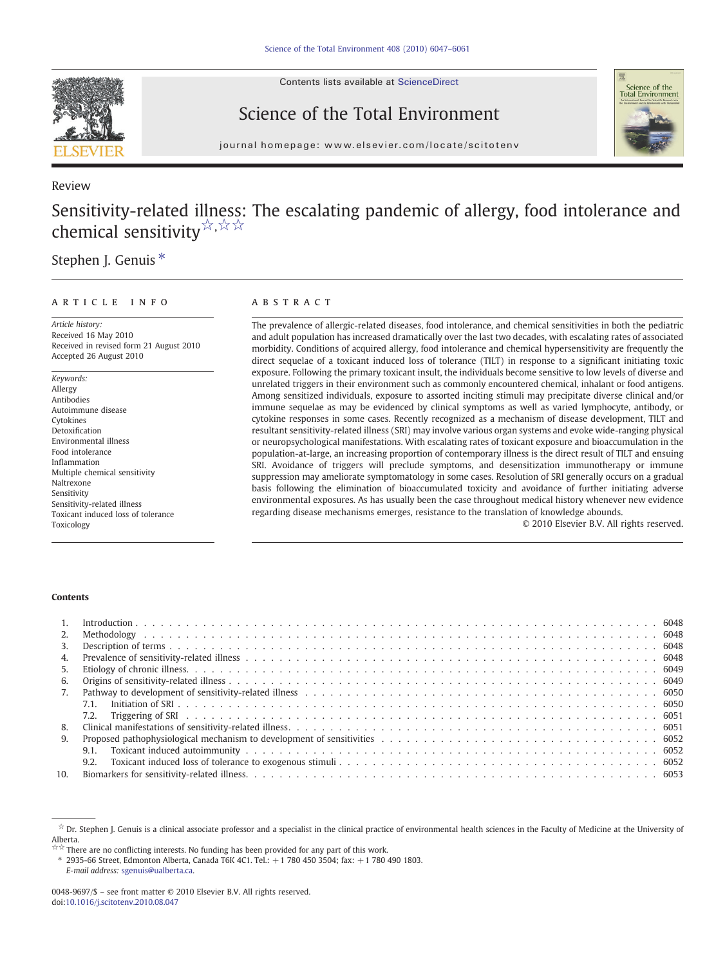Contents lists available at ScienceDirect

## Science of the Total Environment



 $j$  o u r n a l  $j$  of  $\alpha$  is even  $\alpha$  to the  $i$  to the complex  $\alpha$  to the  $i$ 

# Review

## Sensitivity-related illness: The escalating pandemic of allergy, food intolerance and chemical sensitivity<sup>☆,☆☆</sup>

Stephen J. Genuis<sup>\*</sup>

#### article info abstract

Article history: Received 16 May 2010 Received in revised form 21 August 2010 Accepted 26 August 2010

Keywords: Allergy Antibodies Autoimmune disease Cytokines Detoxification Environmental illness Food intolerance Inflammation Multiple chemical sensitivity Naltrexone Sensitivity Sensitivity-related illness Toxicant induced loss of tolerance Toxicology

The prevalence of allergic-related diseases, food intolerance, and chemical sensitivities in both the pediatric and adult population has increased dramatically over the last two decades, with escalating rates of associated morbidity. Conditions of acquired allergy, food intolerance and chemical hypersensitivity are frequently the direct sequelae of a toxicant induced loss of tolerance (TILT) in response to a significant initiating toxic exposure. Following the primary toxicant insult, the individuals become sensitive to low levels of diverse and unrelated triggers in their environment such as commonly encountered chemical, inhalant or food antigens. Among sensitized individuals, exposure to assorted inciting stimuli may precipitate diverse clinical and/or immune sequelae as may be evidenced by clinical symptoms as well as varied lymphocyte, antibody, or cytokine responses in some cases. Recently recognized as a mechanism of disease development, TILT and resultant sensitivity-related illness (SRI) may involve various organ systems and evoke wide-ranging physical or neuropsychological manifestations. With escalating rates of toxicant exposure and bioaccumulation in the population-at-large, an increasing proportion of contemporary illness is the direct result of TILT and ensuing SRI. Avoidance of triggers will preclude symptoms, and desensitization immunotherapy or immune suppression may ameliorate symptomatology in some cases. Resolution of SRI generally occurs on a gradual basis following the elimination of bioaccumulated toxicity and avoidance of further initiating adverse environmental exposures. As has usually been the case throughout medical history whenever new evidence regarding disease mechanisms emerges, resistance to the translation of knowledge abounds.

© 2010 Elsevier B.V. All rights reserved.

#### Contents

| 2. |      |  |
|----|------|--|
| 3. |      |  |
| 4. |      |  |
| 5. |      |  |
| 6. |      |  |
| 7. |      |  |
|    |      |  |
|    |      |  |
| 8. |      |  |
| 9. |      |  |
|    | 9.1. |  |
|    | 9.2. |  |
|    |      |  |
|    |      |  |

<sup>☆</sup> Dr. Stephen J. Genuis is a clinical associate professor and a specialist in the clinical practice of environmental health sciences in the Faculty of Medicine at the University of Alberta.

 $\vec{\tau}$  There are no conflicting interests. No funding has been provided for any part of this work.

<sup>⁎</sup> 2935-66 Street, Edmonton Alberta, Canada T6K 4C1. Tel.: +1 780 450 3504; fax: +1 780 490 1803. E-mail address: [sgenuis@ualberta.ca](mailto:sgenuis@ualberta.ca).

<sup>0048-9697/\$</sup> – see front matter © 2010 Elsevier B.V. All rights reserved. doi:[10.1016/j.scitotenv.2010.08.047](http://dx.doi.org/10.1016/j.scitotenv.2010.08.047)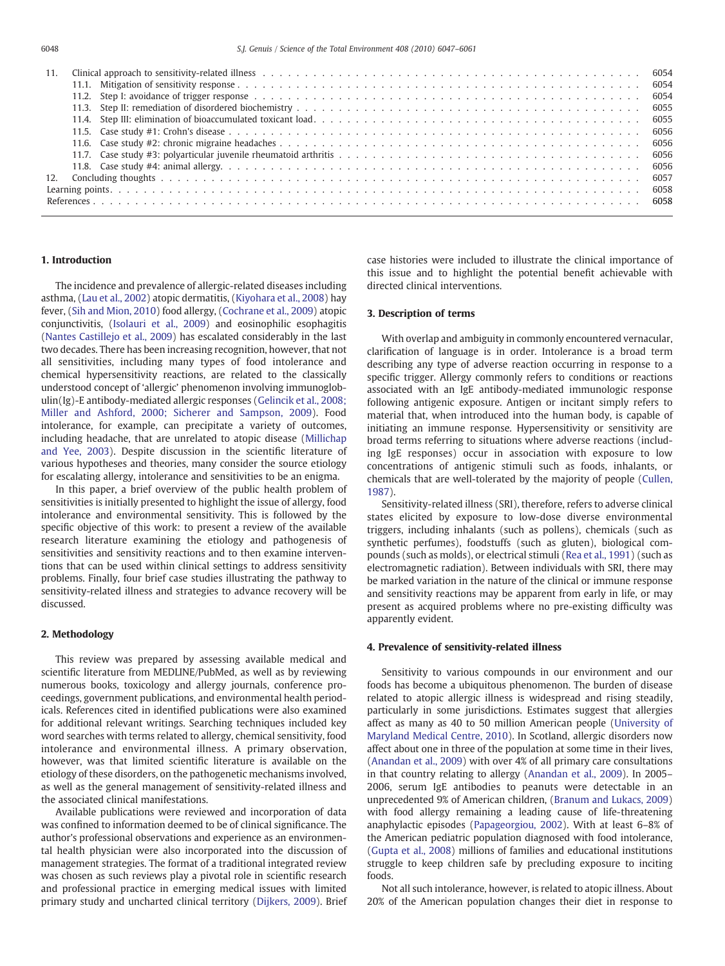#### 1. Introduction

The incidence and prevalence of allergic-related diseases including asthma, [\(Lau et al., 2002](#page-12-0)) atopic dermatitis, ([Kiyohara et al., 2008](#page-12-0)) hay fever, [\(Sih and Mion, 2010](#page-13-0)) food allergy, [\(Cochrane et al., 2009](#page-11-0)) atopic conjunctivitis, ([Isolauri et al., 2009](#page-12-0)) and eosinophilic esophagitis [\(Nantes Castillejo et al., 2009\)](#page-13-0) has escalated considerably in the last two decades. There has been increasing recognition, however, that not all sensitivities, including many types of food intolerance and chemical hypersensitivity reactions, are related to the classically understood concept of 'allergic' phenomenon involving immunoglobulin(Ig)-E antibody-mediated allergic responses ([Gelincik et al., 2008;](#page-12-0) [Miller and Ashford, 2000; Sicherer and Sampson, 2009](#page-12-0)). Food intolerance, for example, can precipitate a variety of outcomes, including headache, that are unrelated to atopic disease ([Millichap](#page-13-0) [and Yee, 2003\)](#page-13-0). Despite discussion in the scientific literature of various hypotheses and theories, many consider the source etiology for escalating allergy, intolerance and sensitivities to be an enigma.

In this paper, a brief overview of the public health problem of sensitivities is initially presented to highlight the issue of allergy, food intolerance and environmental sensitivity. This is followed by the specific objective of this work: to present a review of the available research literature examining the etiology and pathogenesis of sensitivities and sensitivity reactions and to then examine interventions that can be used within clinical settings to address sensitivity problems. Finally, four brief case studies illustrating the pathway to sensitivity-related illness and strategies to advance recovery will be discussed.

#### 2. Methodology

This review was prepared by assessing available medical and scientific literature from MEDLINE/PubMed, as well as by reviewing numerous books, toxicology and allergy journals, conference proceedings, government publications, and environmental health periodicals. References cited in identified publications were also examined for additional relevant writings. Searching techniques included key word searches with terms related to allergy, chemical sensitivity, food intolerance and environmental illness. A primary observation, however, was that limited scientific literature is available on the etiology of these disorders, on the pathogenetic mechanisms involved, as well as the general management of sensitivity-related illness and the associated clinical manifestations.

Available publications were reviewed and incorporation of data was confined to information deemed to be of clinical significance. The author's professional observations and experience as an environmental health physician were also incorporated into the discussion of management strategies. The format of a traditional integrated review was chosen as such reviews play a pivotal role in scientific research and professional practice in emerging medical issues with limited primary study and uncharted clinical territory [\(Dijkers, 2009\)](#page-11-0). Brief case histories were included to illustrate the clinical importance of this issue and to highlight the potential benefit achievable with directed clinical interventions.

#### 3. Description of terms

With overlap and ambiguity in commonly encountered vernacular, clarification of language is in order. Intolerance is a broad term describing any type of adverse reaction occurring in response to a specific trigger. Allergy commonly refers to conditions or reactions associated with an IgE antibody-mediated immunologic response following antigenic exposure. Antigen or incitant simply refers to material that, when introduced into the human body, is capable of initiating an immune response. Hypersensitivity or sensitivity are broad terms referring to situations where adverse reactions (including IgE responses) occur in association with exposure to low concentrations of antigenic stimuli such as foods, inhalants, or chemicals that are well-tolerated by the majority of people ([Cullen,](#page-11-0) [1987\)](#page-11-0).

Sensitivity-related illness (SRI), therefore, refers to adverse clinical states elicited by exposure to low-dose diverse environmental triggers, including inhalants (such as pollens), chemicals (such as synthetic perfumes), foodstuffs (such as gluten), biological compounds (such as molds), or electrical stimuli ([Rea et al., 1991](#page-13-0)) (such as electromagnetic radiation). Between individuals with SRI, there may be marked variation in the nature of the clinical or immune response and sensitivity reactions may be apparent from early in life, or may present as acquired problems where no pre-existing difficulty was apparently evident.

#### 4. Prevalence of sensitivity-related illness

Sensitivity to various compounds in our environment and our foods has become a ubiquitous phenomenon. The burden of disease related to atopic allergic illness is widespread and rising steadily, particularly in some jurisdictions. Estimates suggest that allergies affect as many as 40 to 50 million American people ([University of](#page-14-0) [Maryland Medical Centre, 2010](#page-14-0)). In Scotland, allergic disorders now affect about one in three of the population at some time in their lives, [\(Anandan et al., 2009\)](#page-11-0) with over 4% of all primary care consultations in that country relating to allergy [\(Anandan et al., 2009](#page-11-0)). In 2005– 2006, serum IgE antibodies to peanuts were detectable in an unprecedented 9% of American children, [\(Branum and Lukacs, 2009](#page-11-0)) with food allergy remaining a leading cause of life-threatening anaphylactic episodes [\(Papageorgiou, 2002](#page-13-0)). With at least 6–8% of the American pediatric population diagnosed with food intolerance, [\(Gupta et al., 2008\)](#page-12-0) millions of families and educational institutions struggle to keep children safe by precluding exposure to inciting foods.

Not all such intolerance, however, is related to atopic illness. About 20% of the American population changes their diet in response to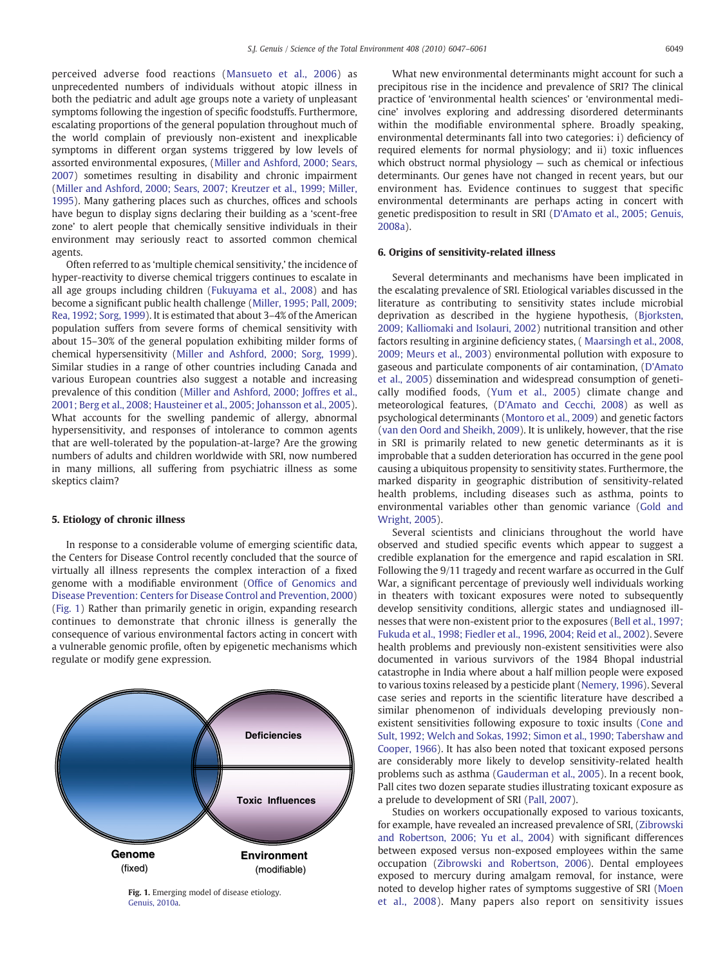<span id="page-2-0"></span>perceived adverse food reactions ([Mansueto et al., 2006\)](#page-13-0) as unprecedented numbers of individuals without atopic illness in both the pediatric and adult age groups note a variety of unpleasant symptoms following the ingestion of specific foodstuffs. Furthermore, escalating proportions of the general population throughout much of the world complain of previously non-existent and inexplicable symptoms in different organ systems triggered by low levels of assorted environmental exposures, [\(Miller and Ashford, 2000; Sears,](#page-13-0) [2007\)](#page-13-0) sometimes resulting in disability and chronic impairment [\(Miller and Ashford, 2000; Sears, 2007; Kreutzer et al., 1999; Miller,](#page-13-0) [1995\)](#page-13-0). Many gathering places such as churches, offices and schools have begun to display signs declaring their building as a 'scent-free zone' to alert people that chemically sensitive individuals in their environment may seriously react to assorted common chemical agents.

Often referred to as 'multiple chemical sensitivity,' the incidence of hyper-reactivity to diverse chemical triggers continues to escalate in all age groups including children ([Fukuyama et al., 2008](#page-12-0)) and has become a significant public health challenge [\(Miller, 1995; Pall, 2009;](#page-13-0) [Rea, 1992; Sorg, 1999](#page-13-0)). It is estimated that about 3–4% of the American population suffers from severe forms of chemical sensitivity with about 15–30% of the general population exhibiting milder forms of chemical hypersensitivity [\(Miller and Ashford, 2000; Sorg, 1999](#page-13-0)). Similar studies in a range of other countries including Canada and various European countries also suggest a notable and increasing prevalence of this condition [\(Miller and Ashford, 2000; Joffres et al.,](#page-13-0) [2001; Berg et al., 2008; Hausteiner et al., 2005; Johansson et al., 2005](#page-13-0)). What accounts for the swelling pandemic of allergy, abnormal hypersensitivity, and responses of intolerance to common agents that are well-tolerated by the population-at-large? Are the growing numbers of adults and children worldwide with SRI, now numbered in many millions, all suffering from psychiatric illness as some skeptics claim?

#### 5. Etiology of chronic illness

In response to a considerable volume of emerging scientific data, the Centers for Disease Control recently concluded that the source of virtually all illness represents the complex interaction of a fixed genome with a modifiable environment (Offi[ce of Genomics and](#page-13-0) [Disease Prevention: Centers for Disease Control and Prevention, 2000](#page-13-0)) (Fig. 1) Rather than primarily genetic in origin, expanding research continues to demonstrate that chronic illness is generally the consequence of various environmental factors acting in concert with a vulnerable genomic profile, often by epigenetic mechanisms which regulate or modify gene expression.



Fig. 1. Emerging model of disease etiology. [Genuis, 2010a.](#page-12-0)

What new environmental determinants might account for such a precipitous rise in the incidence and prevalence of SRI? The clinical practice of 'environmental health sciences' or 'environmental medicine' involves exploring and addressing disordered determinants within the modifiable environmental sphere. Broadly speaking, environmental determinants fall into two categories: i) deficiency of required elements for normal physiology; and ii) toxic influences which obstruct normal physiology — such as chemical or infectious determinants. Our genes have not changed in recent years, but our environment has. Evidence continues to suggest that specific environmental determinants are perhaps acting in concert with genetic predisposition to result in SRI ([D'Amato et al., 2005; Genuis,](#page-11-0) [2008a\)](#page-11-0).

#### 6. Origins of sensitivity-related illness

Several determinants and mechanisms have been implicated in the escalating prevalence of SRI. Etiological variables discussed in the literature as contributing to sensitivity states include microbial deprivation as described in the hygiene hypothesis, ([Bjorksten,](#page-11-0) [2009; Kalliomaki and Isolauri, 2002\)](#page-11-0) nutritional transition and other factors resulting in arginine deficiency states, ( [Maarsingh et al., 2008,](#page-13-0) [2009; Meurs et al., 2003](#page-13-0)) environmental pollution with exposure to gaseous and particulate components of air contamination, [\(D'Amato](#page-11-0) [et al., 2005\)](#page-11-0) dissemination and widespread consumption of genetically modified foods, ([Yum et al., 2005\)](#page-14-0) climate change and meteorological features, [\(D'Amato and Cecchi, 2008\)](#page-11-0) as well as psychological determinants ([Montoro et al., 2009](#page-13-0)) and genetic factors [\(van den Oord and Sheikh, 2009\)](#page-14-0). It is unlikely, however, that the rise in SRI is primarily related to new genetic determinants as it is improbable that a sudden deterioration has occurred in the gene pool causing a ubiquitous propensity to sensitivity states. Furthermore, the marked disparity in geographic distribution of sensitivity-related health problems, including diseases such as asthma, points to environmental variables other than genomic variance [\(Gold and](#page-12-0) [Wright, 2005\)](#page-12-0).

Several scientists and clinicians throughout the world have observed and studied specific events which appear to suggest a credible explanation for the emergence and rapid escalation in SRI. Following the 9/11 tragedy and recent warfare as occurred in the Gulf War, a significant percentage of previously well individuals working in theaters with toxicant exposures were noted to subsequently develop sensitivity conditions, allergic states and undiagnosed illnesses that were non-existent prior to the exposures ([Bell et al., 1997;](#page-11-0) [Fukuda et al., 1998; Fiedler et al., 1996, 2004; Reid et al., 2002](#page-11-0)). Severe health problems and previously non-existent sensitivities were also documented in various survivors of the 1984 Bhopal industrial catastrophe in India where about a half million people were exposed to various toxins released by a pesticide plant ([Nemery, 1996](#page-13-0)). Several case series and reports in the scientific literature have described a similar phenomenon of individuals developing previously nonexistent sensitivities following exposure to toxic insults [\(Cone and](#page-11-0) [Sult, 1992; Welch and Sokas, 1992; Simon et al., 1990; Tabershaw and](#page-11-0) [Cooper, 1966\)](#page-11-0). It has also been noted that toxicant exposed persons are considerably more likely to develop sensitivity-related health problems such as asthma [\(Gauderman et al., 2005](#page-12-0)). In a recent book, Pall cites two dozen separate studies illustrating toxicant exposure as a prelude to development of SRI [\(Pall, 2007\)](#page-13-0).

Studies on workers occupationally exposed to various toxicants, for example, have revealed an increased prevalence of SRI, ([Zibrowski](#page-14-0) [and Robertson, 2006; Yu et al., 2004](#page-14-0)) with significant differences between exposed versus non-exposed employees within the same occupation ([Zibrowski and Robertson, 2006\)](#page-14-0). Dental employees exposed to mercury during amalgam removal, for instance, were noted to develop higher rates of symptoms suggestive of SRI ([Moen](#page-13-0) [et al., 2008\)](#page-13-0). Many papers also report on sensitivity issues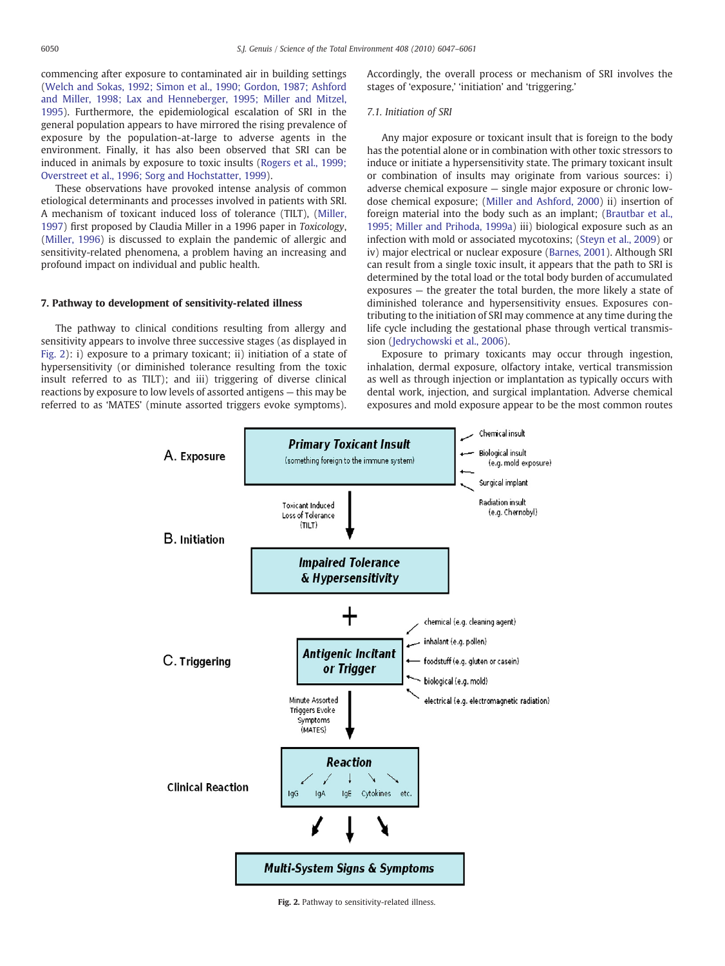commencing after exposure to contaminated air in building settings [\(Welch and Sokas, 1992; Simon et al., 1990; Gordon, 1987; Ashford](#page-14-0) [and Miller, 1998; Lax and Henneberger, 1995; Miller and Mitzel,](#page-14-0) [1995\)](#page-14-0). Furthermore, the epidemiological escalation of SRI in the general population appears to have mirrored the rising prevalence of exposure by the population-at-large to adverse agents in the environment. Finally, it has also been observed that SRI can be induced in animals by exposure to toxic insults [\(Rogers et al., 1999;](#page-13-0) [Overstreet et al., 1996; Sorg and Hochstatter, 1999\)](#page-13-0).

These observations have provoked intense analysis of common etiological determinants and processes involved in patients with SRI. A mechanism of toxicant induced loss of tolerance (TILT), [\(Miller,](#page-13-0) [1997\)](#page-13-0) first proposed by Claudia Miller in a 1996 paper in Toxicology, [\(Miller, 1996](#page-13-0)) is discussed to explain the pandemic of allergic and sensitivity-related phenomena, a problem having an increasing and profound impact on individual and public health.

### 7. Pathway to development of sensitivity-related illness

The pathway to clinical conditions resulting from allergy and sensitivity appears to involve three successive stages (as displayed in Fig. 2): i) exposure to a primary toxicant; ii) initiation of a state of hypersensitivity (or diminished tolerance resulting from the toxic insult referred to as TILT); and iii) triggering of diverse clinical reactions by exposure to low levels of assorted antigens — this may be referred to as 'MATES' (minute assorted triggers evoke symptoms).

Accordingly, the overall process or mechanism of SRI involves the stages of 'exposure,' 'initiation' and 'triggering.'

#### 7.1. Initiation of SRI

Any major exposure or toxicant insult that is foreign to the body has the potential alone or in combination with other toxic stressors to induce or initiate a hypersensitivity state. The primary toxicant insult or combination of insults may originate from various sources: i) adverse chemical exposure — single major exposure or chronic lowdose chemical exposure; ([Miller and Ashford, 2000\)](#page-13-0) ii) insertion of foreign material into the body such as an implant; [\(Brautbar et al.,](#page-11-0) [1995; Miller and Prihoda, 1999a](#page-11-0)) iii) biological exposure such as an infection with mold or associated mycotoxins; ([Steyn et al., 2009](#page-14-0)) or iv) major electrical or nuclear exposure [\(Barnes, 2001\)](#page-11-0). Although SRI can result from a single toxic insult, it appears that the path to SRI is determined by the total load or the total body burden of accumulated exposures — the greater the total burden, the more likely a state of diminished tolerance and hypersensitivity ensues. Exposures contributing to the initiation of SRI may commence at any time during the life cycle including the gestational phase through vertical transmission ([Jedrychowski et al., 2006\)](#page-12-0).

Exposure to primary toxicants may occur through ingestion, inhalation, dermal exposure, olfactory intake, vertical transmission as well as through injection or implantation as typically occurs with dental work, injection, and surgical implantation. Adverse chemical exposures and mold exposure appear to be the most common routes



Fig. 2. Pathway to sensitivity-related illness.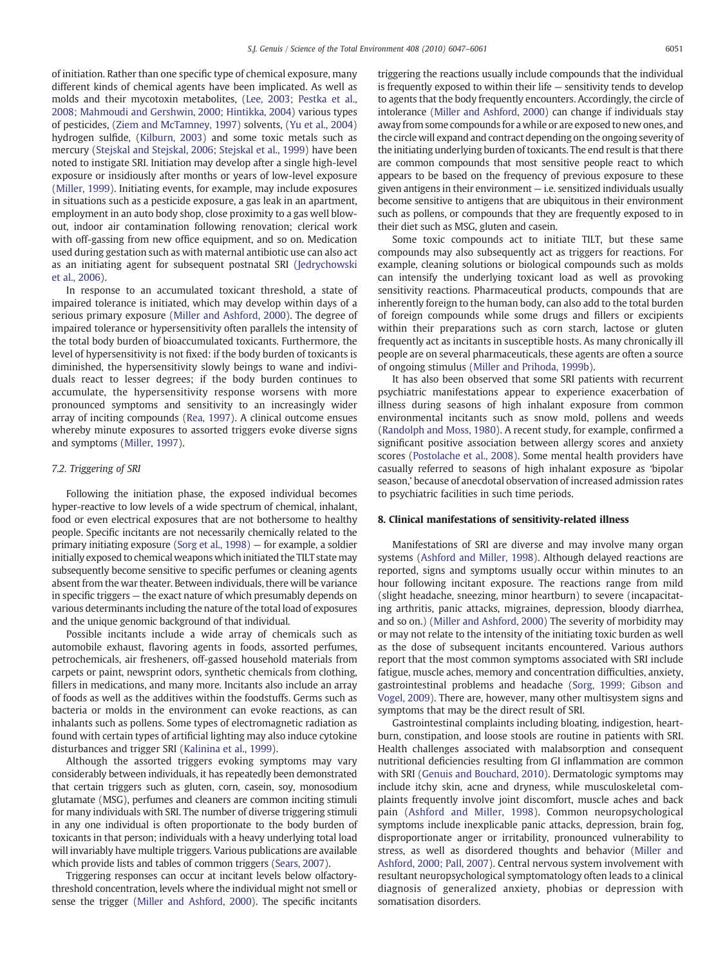of initiation. Rather than one specific type of chemical exposure, many different kinds of chemical agents have been implicated. As well as molds and their mycotoxin metabolites, [\(Lee, 2003; Pestka et al.,](#page-13-0) [2008; Mahmoudi and Gershwin, 2000; Hintikka, 2004](#page-13-0)) various types of pesticides, ([Ziem and McTamney, 1997\)](#page-14-0) solvents, [\(Yu et al., 2004](#page-14-0)) hydrogen sulfide, [\(Kilburn, 2003](#page-12-0)) and some toxic metals such as mercury [\(Stejskal and Stejskal, 2006; Stejskal et al., 1999](#page-13-0)) have been noted to instigate SRI. Initiation may develop after a single high-level exposure or insidiously after months or years of low-level exposure [\(Miller, 1999](#page-13-0)). Initiating events, for example, may include exposures in situations such as a pesticide exposure, a gas leak in an apartment, employment in an auto body shop, close proximity to a gas well blowout, indoor air contamination following renovation; clerical work with off-gassing from new office equipment, and so on. Medication used during gestation such as with maternal antibiotic use can also act as an initiating agent for subsequent postnatal SRI ([Jedrychowski](#page-12-0) et al.,  $2006$ ).

In response to an accumulated toxicant threshold, a state of impaired tolerance is initiated, which may develop within days of a serious primary exposure ([Miller and Ashford, 2000\)](#page-13-0). The degree of impaired tolerance or hypersensitivity often parallels the intensity of the total body burden of bioaccumulated toxicants. Furthermore, the level of hypersensitivity is not fixed: if the body burden of toxicants is diminished, the hypersensitivity slowly beings to wane and individuals react to lesser degrees; if the body burden continues to accumulate, the hypersensitivity response worsens with more pronounced symptoms and sensitivity to an increasingly wider array of inciting compounds [\(Rea, 1997](#page-13-0)). A clinical outcome ensues whereby minute exposures to assorted triggers evoke diverse signs and symptoms [\(Miller, 1997](#page-13-0)).

#### 7.2. Triggering of SRI

Following the initiation phase, the exposed individual becomes hyper-reactive to low levels of a wide spectrum of chemical, inhalant, food or even electrical exposures that are not bothersome to healthy people. Specific incitants are not necessarily chemically related to the primary initiating exposure ([Sorg et al., 1998\)](#page-13-0) — for example, a soldier initially exposed to chemical weapons which initiated the TILT state may subsequently become sensitive to specific perfumes or cleaning agents absent from the war theater. Between individuals, there will be variance in specific triggers — the exact nature of which presumably depends on various determinants including the nature of the total load of exposures and the unique genomic background of that individual.

Possible incitants include a wide array of chemicals such as automobile exhaust, flavoring agents in foods, assorted perfumes, petrochemicals, air fresheners, off-gassed household materials from carpets or paint, newsprint odors, synthetic chemicals from clothing, fillers in medications, and many more. Incitants also include an array of foods as well as the additives within the foodstuffs. Germs such as bacteria or molds in the environment can evoke reactions, as can inhalants such as pollens. Some types of electromagnetic radiation as found with certain types of artificial lighting may also induce cytokine disturbances and trigger SRI [\(Kalinina et al., 1999](#page-12-0)).

Although the assorted triggers evoking symptoms may vary considerably between individuals, it has repeatedly been demonstrated that certain triggers such as gluten, corn, casein, soy, monosodium glutamate (MSG), perfumes and cleaners are common inciting stimuli for many individuals with SRI. The number of diverse triggering stimuli in any one individual is often proportionate to the body burden of toxicants in that person; individuals with a heavy underlying total load will invariably have multiple triggers. Various publications are available which provide lists and tables of common triggers [\(Sears, 2007\)](#page-13-0).

Triggering responses can occur at incitant levels below olfactorythreshold concentration, levels where the individual might not smell or sense the trigger ([Miller and Ashford, 2000\)](#page-13-0). The specific incitants triggering the reactions usually include compounds that the individual is frequently exposed to within their life — sensitivity tends to develop to agents that the body frequently encounters. Accordingly, the circle of intolerance ([Miller and Ashford, 2000\)](#page-13-0) can change if individuals stay away from some compounds for a while or are exposed to new ones, and the circle will expand and contract depending on the ongoing severity of the initiating underlying burden of toxicants. The end result is that there are common compounds that most sensitive people react to which appears to be based on the frequency of previous exposure to these given antigens in their environment — i.e. sensitized individuals usually become sensitive to antigens that are ubiquitous in their environment such as pollens, or compounds that they are frequently exposed to in their diet such as MSG, gluten and casein.

Some toxic compounds act to initiate TILT, but these same compounds may also subsequently act as triggers for reactions. For example, cleaning solutions or biological compounds such as molds can intensify the underlying toxicant load as well as provoking sensitivity reactions. Pharmaceutical products, compounds that are inherently foreign to the human body, can also add to the total burden of foreign compounds while some drugs and fillers or excipients within their preparations such as corn starch, lactose or gluten frequently act as incitants in susceptible hosts. As many chronically ill people are on several pharmaceuticals, these agents are often a source of ongoing stimulus ([Miller and Prihoda, 1999b](#page-13-0)).

It has also been observed that some SRI patients with recurrent psychiatric manifestations appear to experience exacerbation of illness during seasons of high inhalant exposure from common environmental incitants such as snow mold, pollens and weeds [\(Randolph and Moss, 1980](#page-13-0)). A recent study, for example, confirmed a significant positive association between allergy scores and anxiety scores [\(Postolache et al., 2008\)](#page-13-0). Some mental health providers have casually referred to seasons of high inhalant exposure as 'bipolar season,' because of anecdotal observation of increased admission rates to psychiatric facilities in such time periods.

#### 8. Clinical manifestations of sensitivity-related illness

Manifestations of SRI are diverse and may involve many organ systems ([Ashford and Miller, 1998](#page-11-0)). Although delayed reactions are reported, signs and symptoms usually occur within minutes to an hour following incitant exposure. The reactions range from mild (slight headache, sneezing, minor heartburn) to severe (incapacitating arthritis, panic attacks, migraines, depression, bloody diarrhea, and so on.) [\(Miller and Ashford, 2000\)](#page-13-0) The severity of morbidity may or may not relate to the intensity of the initiating toxic burden as well as the dose of subsequent incitants encountered. Various authors report that the most common symptoms associated with SRI include fatigue, muscle aches, memory and concentration difficulties, anxiety, gastrointestinal problems and headache ([Sorg, 1999; Gibson and](#page-13-0) [Vogel, 2009](#page-13-0)). There are, however, many other multisystem signs and symptoms that may be the direct result of SRI.

Gastrointestinal complaints including bloating, indigestion, heartburn, constipation, and loose stools are routine in patients with SRI. Health challenges associated with malabsorption and consequent nutritional deficiencies resulting from GI inflammation are common with SRI ([Genuis and Bouchard, 2010\)](#page-12-0). Dermatologic symptoms may include itchy skin, acne and dryness, while musculoskeletal complaints frequently involve joint discomfort, muscle aches and back pain ([Ashford and Miller, 1998\)](#page-11-0). Common neuropsychological symptoms include inexplicable panic attacks, depression, brain fog, disproportionate anger or irritability, pronounced vulnerability to stress, as well as disordered thoughts and behavior ([Miller and](#page-13-0) [Ashford, 2000; Pall, 2007\)](#page-13-0). Central nervous system involvement with resultant neuropsychological symptomatology often leads to a clinical diagnosis of generalized anxiety, phobias or depression with somatisation disorders.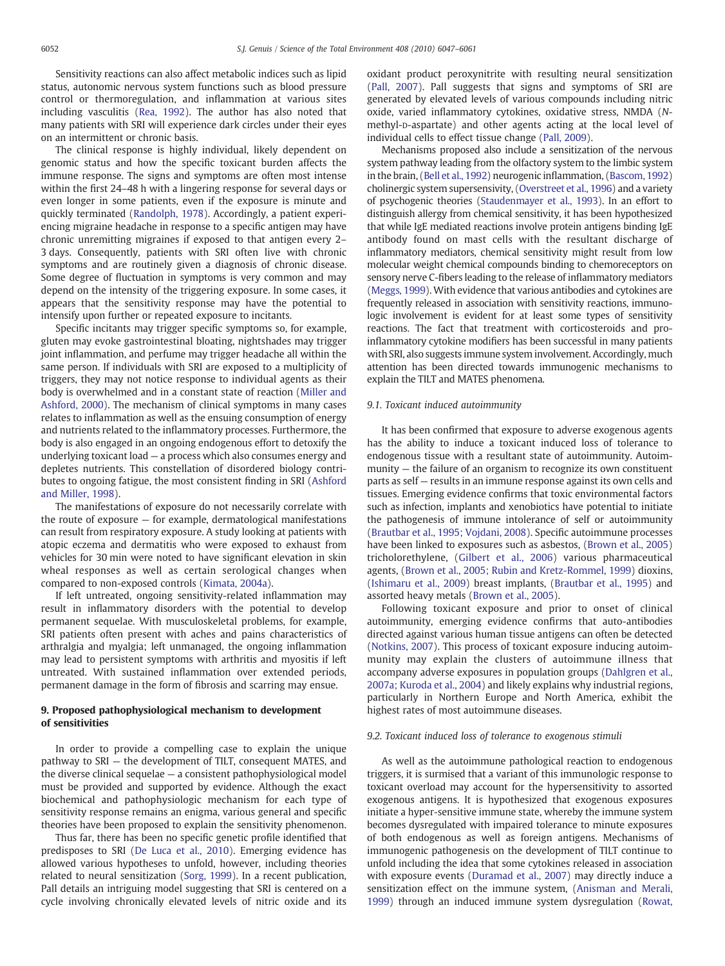Sensitivity reactions can also affect metabolic indices such as lipid status, autonomic nervous system functions such as blood pressure control or thermoregulation, and inflammation at various sites including vasculitis [\(Rea, 1992\)](#page-13-0). The author has also noted that many patients with SRI will experience dark circles under their eyes on an intermittent or chronic basis.

The clinical response is highly individual, likely dependent on genomic status and how the specific toxicant burden affects the immune response. The signs and symptoms are often most intense within the first 24–48 h with a lingering response for several days or even longer in some patients, even if the exposure is minute and quickly terminated ([Randolph, 1978](#page-13-0)). Accordingly, a patient experiencing migraine headache in response to a specific antigen may have chronic unremitting migraines if exposed to that antigen every 2– 3 days. Consequently, patients with SRI often live with chronic symptoms and are routinely given a diagnosis of chronic disease. Some degree of fluctuation in symptoms is very common and may depend on the intensity of the triggering exposure. In some cases, it appears that the sensitivity response may have the potential to intensify upon further or repeated exposure to incitants.

Specific incitants may trigger specific symptoms so, for example, gluten may evoke gastrointestinal bloating, nightshades may trigger joint inflammation, and perfume may trigger headache all within the same person. If individuals with SRI are exposed to a multiplicity of triggers, they may not notice response to individual agents as their body is overwhelmed and in a constant state of reaction ([Miller and](#page-13-0) [Ashford, 2000](#page-13-0)). The mechanism of clinical symptoms in many cases relates to inflammation as well as the ensuing consumption of energy and nutrients related to the inflammatory processes. Furthermore, the body is also engaged in an ongoing endogenous effort to detoxify the underlying toxicant load — a process which also consumes energy and depletes nutrients. This constellation of disordered biology contributes to ongoing fatigue, the most consistent finding in SRI [\(Ashford](#page-11-0) [and Miller, 1998\)](#page-11-0).

The manifestations of exposure do not necessarily correlate with the route of exposure — for example, dermatological manifestations can result from respiratory exposure. A study looking at patients with atopic eczema and dermatitis who were exposed to exhaust from vehicles for 30 min were noted to have significant elevation in skin wheal responses as well as certain serological changes when compared to non-exposed controls [\(Kimata, 2004a\)](#page-12-0).

If left untreated, ongoing sensitivity-related inflammation may result in inflammatory disorders with the potential to develop permanent sequelae. With musculoskeletal problems, for example, SRI patients often present with aches and pains characteristics of arthralgia and myalgia; left unmanaged, the ongoing inflammation may lead to persistent symptoms with arthritis and myositis if left untreated. With sustained inflammation over extended periods, permanent damage in the form of fibrosis and scarring may ensue.

#### 9. Proposed pathophysiological mechanism to development of sensitivities

In order to provide a compelling case to explain the unique pathway to SRI — the development of TILT, consequent MATES, and the diverse clinical sequelae — a consistent pathophysiological model must be provided and supported by evidence. Although the exact biochemical and pathophysiologic mechanism for each type of sensitivity response remains an enigma, various general and specific theories have been proposed to explain the sensitivity phenomenon.

Thus far, there has been no specific genetic profile identified that predisposes to SRI ([De Luca et al., 2010](#page-11-0)). Emerging evidence has allowed various hypotheses to unfold, however, including theories related to neural sensitization [\(Sorg, 1999\)](#page-13-0). In a recent publication, Pall details an intriguing model suggesting that SRI is centered on a cycle involving chronically elevated levels of nitric oxide and its

oxidant product peroxynitrite with resulting neural sensitization [\(Pall, 2007\)](#page-13-0). Pall suggests that signs and symptoms of SRI are generated by elevated levels of various compounds including nitric oxide, varied inflammatory cytokines, oxidative stress, NMDA (Nmethyl-D-aspartate) and other agents acting at the local level of individual cells to effect tissue change [\(Pall, 2009](#page-13-0)).

Mechanisms proposed also include a sensitization of the nervous system pathway leading from the olfactory system to the limbic system in the brain, [\(Bell et al., 1992](#page-11-0)) neurogenic inflammation, [\(Bascom, 1992](#page-11-0)) cholinergic system supersensivity, ([Overstreet et al., 1996\)](#page-13-0) and a variety of psychogenic theories [\(Staudenmayer et al., 1993](#page-13-0)). In an effort to distinguish allergy from chemical sensitivity, it has been hypothesized that while IgE mediated reactions involve protein antigens binding IgE antibody found on mast cells with the resultant discharge of inflammatory mediators, chemical sensitivity might result from low molecular weight chemical compounds binding to chemoreceptors on sensory nerve C-fibers leading to the release of inflammatory mediators [\(Meggs, 1999\)](#page-13-0). With evidence that various antibodies and cytokines are frequently released in association with sensitivity reactions, immunologic involvement is evident for at least some types of sensitivity reactions. The fact that treatment with corticosteroids and proinflammatory cytokine modifiers has been successful in many patients with SRI, also suggests immune system involvement. Accordingly, much attention has been directed towards immunogenic mechanisms to explain the TILT and MATES phenomena.

#### 9.1. Toxicant induced autoimmunity

It has been confirmed that exposure to adverse exogenous agents has the ability to induce a toxicant induced loss of tolerance to endogenous tissue with a resultant state of autoimmunity. Autoimmunity — the failure of an organism to recognize its own constituent parts as self — results in an immune response against its own cells and tissues. Emerging evidence confirms that toxic environmental factors such as infection, implants and xenobiotics have potential to initiate the pathogenesis of immune intolerance of self or autoimmunity [\(Brautbar et al., 1995; Vojdani, 2008](#page-11-0)). Specific autoimmune processes have been linked to exposures such as asbestos, ([Brown et al., 2005](#page-11-0)) tricholorethylene, ([Gilbert et al., 2006](#page-12-0)) various pharmaceutical agents, [\(Brown et al., 2005; Rubin and Kretz-Rommel, 1999\)](#page-11-0) dioxins, [\(Ishimaru et al., 2009\)](#page-12-0) breast implants, ([Brautbar et al., 1995](#page-11-0)) and assorted heavy metals ([Brown et al., 2005](#page-11-0)).

Following toxicant exposure and prior to onset of clinical autoimmunity, emerging evidence confirms that auto-antibodies directed against various human tissue antigens can often be detected [\(Notkins, 2007](#page-13-0)). This process of toxicant exposure inducing autoimmunity may explain the clusters of autoimmune illness that accompany adverse exposures in population groups [\(Dahlgren et al.,](#page-11-0) [2007a; Kuroda et al., 2004\)](#page-11-0) and likely explains why industrial regions, particularly in Northern Europe and North America, exhibit the highest rates of most autoimmune diseases.

#### 9.2. Toxicant induced loss of tolerance to exogenous stimuli

As well as the autoimmune pathological reaction to endogenous triggers, it is surmised that a variant of this immunologic response to toxicant overload may account for the hypersensitivity to assorted exogenous antigens. It is hypothesized that exogenous exposures initiate a hyper-sensitive immune state, whereby the immune system becomes dysregulated with impaired tolerance to minute exposures of both endogenous as well as foreign antigens. Mechanisms of immunogenic pathogenesis on the development of TILT continue to unfold including the idea that some cytokines released in association with exposure events ([Duramad et al., 2007\)](#page-11-0) may directly induce a sensitization effect on the immune system, [\(Anisman and Merali,](#page-11-0) [1999\)](#page-11-0) through an induced immune system dysregulation ([Rowat,](#page-13-0)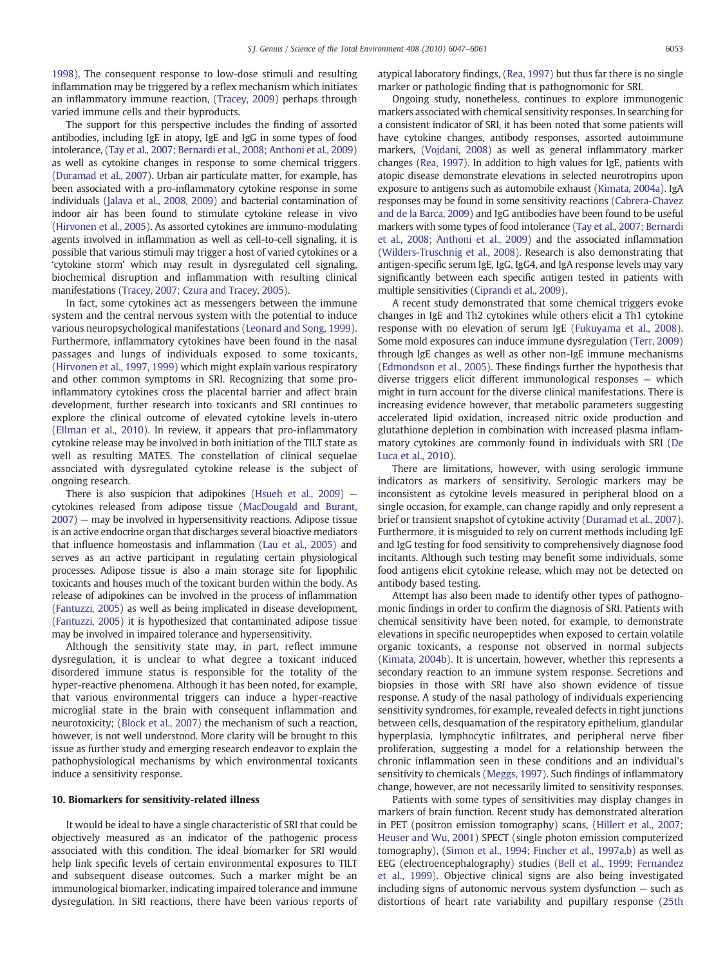[1998\)](#page-13-0). The consequent response to low-dose stimuli and resulting inflammation may be triggered by a reflex mechanism which initiates an inflammatory immune reaction, ([Tracey, 2009\)](#page-14-0) perhaps through varied immune cells and their byproducts.

The support for this perspective includes the finding of assorted antibodies, including IgE in atopy, IgE and IgG in some types of food intolerance, ([Tay et al., 2007; Bernardi et al., 2008; Anthoni et al., 2009](#page-14-0)) as well as cytokine changes in response to some chemical triggers [\(Duramad et al., 2007](#page-11-0)). Urban air particulate matter, for example, has been associated with a pro-inflammatory cytokine response in some individuals [\(Jalava et al., 2008, 2009](#page-12-0)) and bacterial contamination of indoor air has been found to stimulate cytokine release in vivo [\(Hirvonen et al., 2005](#page-12-0)). As assorted cytokines are immuno-modulating agents involved in inflammation as well as cell-to-cell signaling, it is possible that various stimuli may trigger a host of varied cytokines or a 'cytokine storm' which may result in dysregulated cell signaling, biochemical disruption and inflammation with resulting clinical manifestations [\(Tracey, 2007; Czura and Tracey, 2005](#page-14-0)).

In fact, some cytokines act as messengers between the immune system and the central nervous system with the potential to induce various neuropsychological manifestations [\(Leonard and Song, 1999](#page-13-0)). Furthermore, inflammatory cytokines have been found in the nasal passages and lungs of individuals exposed to some toxicants, [\(Hirvonen et al., 1997, 1999](#page-12-0)) which might explain various respiratory and other common symptoms in SRI. Recognizing that some proinflammatory cytokines cross the placental barrier and affect brain development, further research into toxicants and SRI continues to explore the clinical outcome of elevated cytokine levels in-utero [\(Ellman et al., 2010\)](#page-11-0). In review, it appears that pro-inflammatory cytokine release may be involved in both initiation of the TILT state as well as resulting MATES. The constellation of clinical sequelae associated with dysregulated cytokine release is the subject of ongoing research.

There is also suspicion that adipokines ([Hsueh et al., 2009](#page-12-0)) cytokines released from adipose tissue ([MacDougald and Burant,](#page-13-0) [2007](#page-13-0)) — may be involved in hypersensitivity reactions. Adipose tissue is an active endocrine organ that discharges several bioactive mediators that influence homeostasis and inflammation [\(Lau et al., 2005](#page-12-0)) and serves as an active participant in regulating certain physiological processes. Adipose tissue is also a main storage site for lipophilic toxicants and houses much of the toxicant burden within the body. As release of adipokines can be involved in the process of inflammation [\(Fantuzzi, 2005](#page-11-0)) as well as being implicated in disease development, [\(Fantuzzi, 2005\)](#page-11-0) it is hypothesized that contaminated adipose tissue may be involved in impaired tolerance and hypersensitivity.

Although the sensitivity state may, in part, reflect immune dysregulation, it is unclear to what degree a toxicant induced disordered immune status is responsible for the totality of the hyper-reactive phenomena. Although it has been noted, for example, that various environmental triggers can induce a hyper-reactive microglial state in the brain with consequent inflammation and neurotoxicity; ([Block et al., 2007](#page-11-0)) the mechanism of such a reaction, however, is not well understood. More clarity will be brought to this issue as further study and emerging research endeavor to explain the pathophysiological mechanisms by which environmental toxicants induce a sensitivity response.

#### 10. Biomarkers for sensitivity-related illness

It would be ideal to have a single characteristic of SRI that could be objectively measured as an indicator of the pathogenic process associated with this condition. The ideal biomarker for SRI would help link specific levels of certain environmental exposures to TILT and subsequent disease outcomes. Such a marker might be an immunological biomarker, indicating impaired tolerance and immune dysregulation. In SRI reactions, there have been various reports of atypical laboratory findings, ([Rea, 1997\)](#page-13-0) but thus far there is no single marker or pathologic finding that is pathognomonic for SRI.

Ongoing study, nonetheless, continues to explore immunogenic markers associated with chemical sensitivity responses. In searching for a consistent indicator of SRI, it has been noted that some patients will have cytokine changes, antibody responses, assorted autoimmune markers, [\(Vojdani, 2008\)](#page-14-0) as well as general inflammatory marker changes [\(Rea, 1997\)](#page-13-0). In addition to high values for IgE, patients with atopic disease demonstrate elevations in selected neurotropins upon exposure to antigens such as automobile exhaust [\(Kimata, 2004a](#page-12-0)). IgA responses may be found in some sensitivity reactions ([Cabrera-Chavez](#page-11-0) [and de la Barca, 2009\)](#page-11-0) and IgG antibodies have been found to be useful markers with some types of food intolerance ([Tay et al., 2007; Bernardi](#page-14-0) [et al., 2008; Anthoni et al., 2009](#page-14-0)) and the associated inflammation [\(Wilders-Truschnig et al., 2008](#page-14-0)). Research is also demonstrating that antigen-specific serum IgE, IgG, IgG4, and IgA response levels may vary significantly between each specific antigen tested in patients with multiple sensitivities [\(Ciprandi et al., 2009\)](#page-11-0).

A recent study demonstrated that some chemical triggers evoke changes in IgE and Th2 cytokines while others elicit a Th1 cytokine response with no elevation of serum IgE ([Fukuyama et al., 2008](#page-12-0)). Some mold exposures can induce immune dysregulation [\(Terr, 2009](#page-14-0)) through IgE changes as well as other non-IgE immune mechanisms [\(Edmondson et al., 2005\)](#page-11-0). These findings further the hypothesis that diverse triggers elicit different immunological responses — which might in turn account for the diverse clinical manifestations. There is increasing evidence however, that metabolic parameters suggesting accelerated lipid oxidation, increased nitric oxide production and glutathione depletion in combination with increased plasma inflammatory cytokines are commonly found in individuals with SRI ([De](#page-11-0) [Luca et al., 2010](#page-11-0)).

There are limitations, however, with using serologic immune indicators as markers of sensitivity. Serologic markers may be inconsistent as cytokine levels measured in peripheral blood on a single occasion, for example, can change rapidly and only represent a brief or transient snapshot of cytokine activity ([Duramad et al., 2007](#page-11-0)). Furthermore, it is misguided to rely on current methods including IgE and IgG testing for food sensitivity to comprehensively diagnose food incitants. Although such testing may benefit some individuals, some food antigens elicit cytokine release, which may not be detected on antibody based testing.

Attempt has also been made to identify other types of pathognomonic findings in order to confirm the diagnosis of SRI. Patients with chemical sensitivity have been noted, for example, to demonstrate elevations in specific neuropeptides when exposed to certain volatile organic toxicants, a response not observed in normal subjects [\(Kimata, 2004b](#page-12-0)). It is uncertain, however, whether this represents a secondary reaction to an immune system response. Secretions and biopsies in those with SRI have also shown evidence of tissue response. A study of the nasal pathology of individuals experiencing sensitivity syndromes, for example, revealed defects in tight junctions between cells, desquamation of the respiratory epithelium, glandular hyperplasia, lymphocytic infiltrates, and peripheral nerve fiber proliferation, suggesting a model for a relationship between the chronic inflammation seen in these conditions and an individual's sensitivity to chemicals [\(Meggs, 1997\)](#page-13-0). Such findings of inflammatory change, however, are not necessarily limited to sensitivity responses.

Patients with some types of sensitivities may display changes in markers of brain function. Recent study has demonstrated alteration in PET (positron emission tomography) scans, [\(Hillert et al., 2007;](#page-12-0) [Heuser and Wu, 2001](#page-12-0)) SPECT (single photon emission computerized tomography), ([Simon et al., 1994; Fincher et al., 1997a,b](#page-13-0)) as well as EEG (electroencephalography) studies ([Bell et al., 1999; Fernandez](#page-11-0) [et al., 1999](#page-11-0)). Objective clinical signs are also being investigated including signs of autonomic nervous system dysfunction — such as distortions of heart rate variability and pupillary response ([25th](#page-11-0)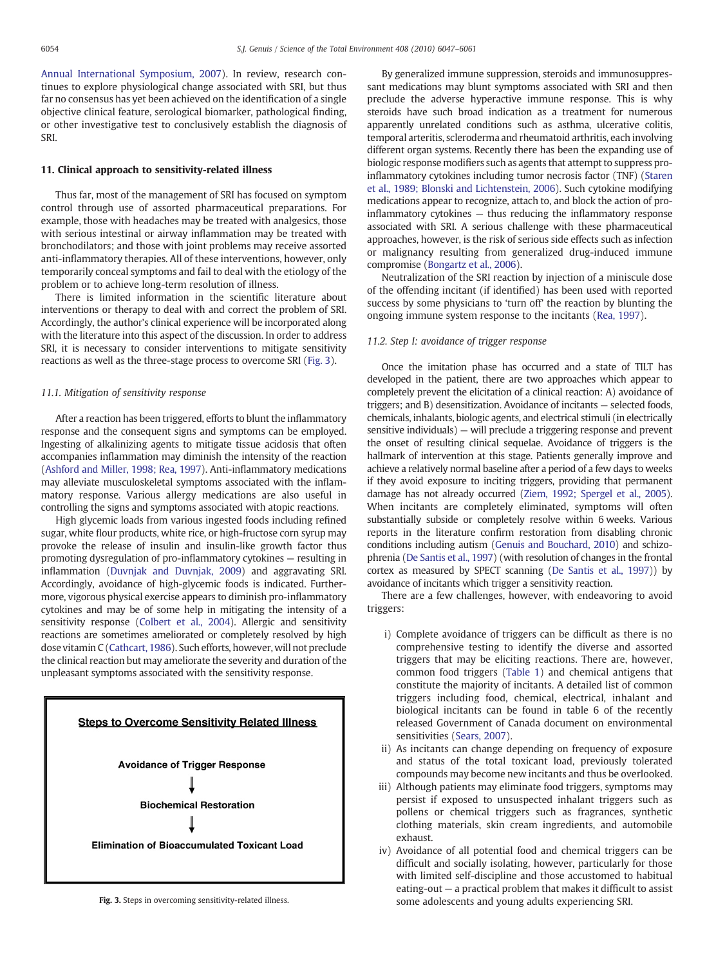[Annual International Symposium, 2007\)](#page-11-0). In review, research continues to explore physiological change associated with SRI, but thus far no consensus has yet been achieved on the identification of a single objective clinical feature, serological biomarker, pathological finding, or other investigative test to conclusively establish the diagnosis of SRI.

#### 11. Clinical approach to sensitivity-related illness

Thus far, most of the management of SRI has focused on symptom control through use of assorted pharmaceutical preparations. For example, those with headaches may be treated with analgesics, those with serious intestinal or airway inflammation may be treated with bronchodilators; and those with joint problems may receive assorted anti-inflammatory therapies. All of these interventions, however, only temporarily conceal symptoms and fail to deal with the etiology of the problem or to achieve long-term resolution of illness.

There is limited information in the scientific literature about interventions or therapy to deal with and correct the problem of SRI. Accordingly, the author's clinical experience will be incorporated along with the literature into this aspect of the discussion. In order to address SRI, it is necessary to consider interventions to mitigate sensitivity reactions as well as the three-stage process to overcome SRI (Fig. 3).

#### 11.1. Mitigation of sensitivity response

After a reaction has been triggered, efforts to blunt the inflammatory response and the consequent signs and symptoms can be employed. Ingesting of alkalinizing agents to mitigate tissue acidosis that often accompanies inflammation may diminish the intensity of the reaction [\(Ashford and Miller, 1998; Rea, 1997](#page-11-0)). Anti-inflammatory medications may alleviate musculoskeletal symptoms associated with the inflammatory response. Various allergy medications are also useful in controlling the signs and symptoms associated with atopic reactions.

High glycemic loads from various ingested foods including refined sugar, white flour products, white rice, or high-fructose corn syrup may provoke the release of insulin and insulin-like growth factor thus promoting dysregulation of pro-inflammatory cytokines — resulting in inflammation ([Duvnjak and Duvnjak, 2009](#page-11-0)) and aggravating SRI. Accordingly, avoidance of high-glycemic foods is indicated. Furthermore, vigorous physical exercise appears to diminish pro-inflammatory cytokines and may be of some help in mitigating the intensity of a sensitivity response ([Colbert et al., 2004\)](#page-11-0). Allergic and sensitivity reactions are sometimes ameliorated or completely resolved by high dose vitamin C ([Cathcart, 1986](#page-11-0)). Such efforts, however, will not preclude the clinical reaction but may ameliorate the severity and duration of the unpleasant symptoms associated with the sensitivity response.



By generalized immune suppression, steroids and immunosuppressant medications may blunt symptoms associated with SRI and then preclude the adverse hyperactive immune response. This is why steroids have such broad indication as a treatment for numerous apparently unrelated conditions such as asthma, ulcerative colitis, temporal arteritis, scleroderma and rheumatoid arthritis, each involving different organ systems. Recently there has been the expanding use of biologic response modifiers such as agents that attempt to suppress proinflammatory cytokines including tumor necrosis factor (TNF) [\(Staren](#page-13-0) [et al., 1989; Blonski and Lichtenstein, 2006](#page-13-0)). Such cytokine modifying medications appear to recognize, attach to, and block the action of proinflammatory cytokines — thus reducing the inflammatory response associated with SRI. A serious challenge with these pharmaceutical approaches, however, is the risk of serious side effects such as infection or malignancy resulting from generalized drug-induced immune compromise ([Bongartz et al., 2006](#page-11-0)).

Neutralization of the SRI reaction by injection of a miniscule dose of the offending incitant (if identified) has been used with reported success by some physicians to 'turn off' the reaction by blunting the ongoing immune system response to the incitants ([Rea, 1997](#page-13-0)).

#### 11.2. Step I: avoidance of trigger response

Once the imitation phase has occurred and a state of TILT has developed in the patient, there are two approaches which appear to completely prevent the elicitation of a clinical reaction: A) avoidance of triggers; and B) desensitization. Avoidance of incitants — selected foods, chemicals, inhalants, biologic agents, and electrical stimuli (in electrically sensitive individuals) — will preclude a triggering response and prevent the onset of resulting clinical sequelae. Avoidance of triggers is the hallmark of intervention at this stage. Patients generally improve and achieve a relatively normal baseline after a period of a few days to weeks if they avoid exposure to inciting triggers, providing that permanent damage has not already occurred ([Ziem, 1992; Spergel et al., 2005\)](#page-14-0). When incitants are completely eliminated, symptoms will often substantially subside or completely resolve within 6 weeks. Various reports in the literature confirm restoration from disabling chronic conditions including autism [\(Genuis and Bouchard, 2010](#page-12-0)) and schizophrenia [\(De Santis et al., 1997](#page-11-0)) (with resolution of changes in the frontal cortex as measured by SPECT scanning ([De Santis et al., 1997](#page-11-0))) by avoidance of incitants which trigger a sensitivity reaction.

There are a few challenges, however, with endeavoring to avoid triggers:

- i) Complete avoidance of triggers can be difficult as there is no comprehensive testing to identify the diverse and assorted triggers that may be eliciting reactions. There are, however, common food triggers [\(Table 1\)](#page-8-0) and chemical antigens that constitute the majority of incitants. A detailed list of common triggers including food, chemical, electrical, inhalant and biological incitants can be found in table 6 of the recently released Government of Canada document on environmental sensitivities [\(Sears, 2007\)](#page-13-0).
- ii) As incitants can change depending on frequency of exposure and status of the total toxicant load, previously tolerated compounds may become new incitants and thus be overlooked.
- iii) Although patients may eliminate food triggers, symptoms may persist if exposed to unsuspected inhalant triggers such as pollens or chemical triggers such as fragrances, synthetic clothing materials, skin cream ingredients, and automobile exhaust.
- iv) Avoidance of all potential food and chemical triggers can be difficult and socially isolating, however, particularly for those with limited self-discipline and those accustomed to habitual eating-out — a practical problem that makes it difficult to assist Fig. 3. Steps in overcoming sensitivity-related illness. The some adolescents and young adults experiencing SRI.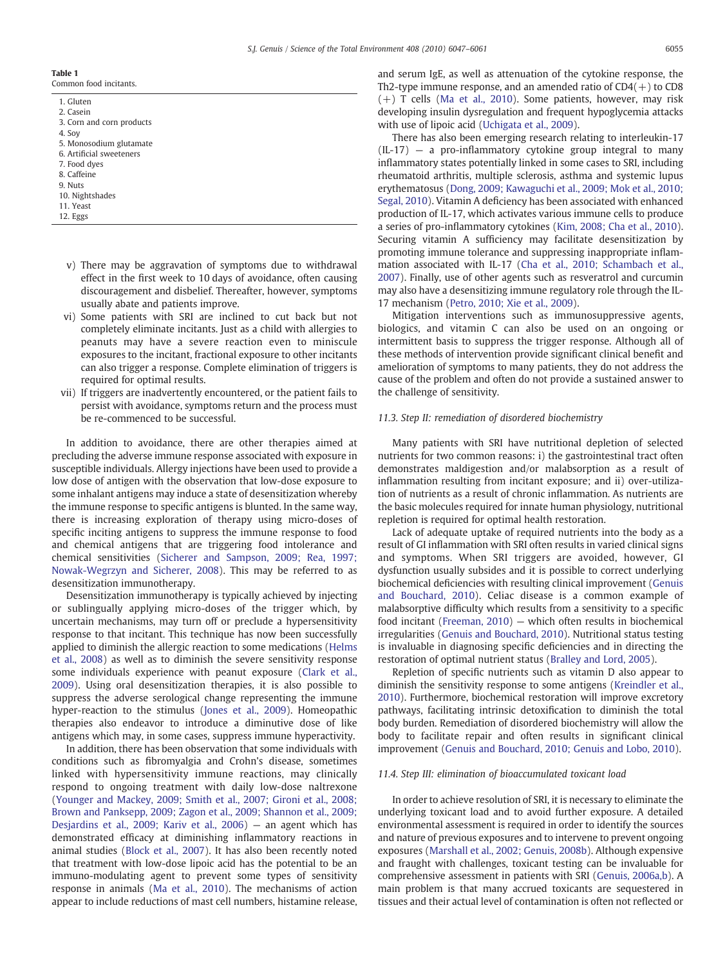#### <span id="page-8-0"></span>Table 1

Common food incitants.

| 1. Gluten                 |
|---------------------------|
| 2. Casein                 |
| 3. Corn and corn products |
| 4. Sov                    |

- 5. Monosodium glutamate
- 6. Artificial sweeteners
- 7. Food dyes
- 8. Caffeine
- 9. Nuts
- 10. Nightshades
- 11. Yeast
- 12. Eggs
	- v) There may be aggravation of symptoms due to withdrawal effect in the first week to 10 days of avoidance, often causing discouragement and disbelief. Thereafter, however, symptoms usually abate and patients improve.
- vi) Some patients with SRI are inclined to cut back but not completely eliminate incitants. Just as a child with allergies to peanuts may have a severe reaction even to miniscule exposures to the incitant, fractional exposure to other incitants can also trigger a response. Complete elimination of triggers is required for optimal results.
- vii) If triggers are inadvertently encountered, or the patient fails to persist with avoidance, symptoms return and the process must be re-commenced to be successful.

In addition to avoidance, there are other therapies aimed at precluding the adverse immune response associated with exposure in susceptible individuals. Allergy injections have been used to provide a low dose of antigen with the observation that low-dose exposure to some inhalant antigens may induce a state of desensitization whereby the immune response to specific antigens is blunted. In the same way, there is increasing exploration of therapy using micro-doses of specific inciting antigens to suppress the immune response to food and chemical antigens that are triggering food intolerance and chemical sensitivities [\(Sicherer and Sampson, 2009; Rea, 1997;](#page-13-0) [Nowak-Wegrzyn and Sicherer, 2008\)](#page-13-0). This may be referred to as desensitization immunotherapy.

Desensitization immunotherapy is typically achieved by injecting or sublingually applying micro-doses of the trigger which, by uncertain mechanisms, may turn off or preclude a hypersensitivity response to that incitant. This technique has now been successfully applied to diminish the allergic reaction to some medications [\(Helms](#page-12-0) [et al., 2008\)](#page-12-0) as well as to diminish the severe sensitivity response some individuals experience with peanut exposure ([Clark et al.,](#page-11-0) [2009\)](#page-11-0). Using oral desensitization therapies, it is also possible to suppress the adverse serological change representing the immune hyper-reaction to the stimulus ([Jones et al., 2009](#page-12-0)). Homeopathic therapies also endeavor to introduce a diminutive dose of like antigens which may, in some cases, suppress immune hyperactivity.

In addition, there has been observation that some individuals with conditions such as fibromyalgia and Crohn's disease, sometimes linked with hypersensitivity immune reactions, may clinically respond to ongoing treatment with daily low-dose naltrexone [\(Younger and Mackey, 2009; Smith et al., 2007; Gironi et al., 2008;](#page-14-0) [Brown and Panksepp, 2009; Zagon et al., 2009; Shannon et al., 2009;](#page-14-0) [Desjardins et al., 2009; Kariv et al., 2006](#page-14-0)) — an agent which has demonstrated efficacy at diminishing inflammatory reactions in animal studies [\(Block et al., 2007](#page-11-0)). It has also been recently noted that treatment with low-dose lipoic acid has the potential to be an immuno-modulating agent to prevent some types of sensitivity response in animals ([Ma et al., 2010](#page-13-0)). The mechanisms of action appear to include reductions of mast cell numbers, histamine release, and serum IgE, as well as attenuation of the cytokine response, the Th2-type immune response, and an amended ratio of  $CD4(+)$  to  $CD8$  $(+)$  T cells ([Ma et al., 2010](#page-13-0)). Some patients, however, may risk developing insulin dysregulation and frequent hypoglycemia attacks with use of lipoic acid ([Uchigata et al., 2009](#page-14-0)).

There has also been emerging research relating to interleukin-17 (IL-17) — a pro-inflammatory cytokine group integral to many inflammatory states potentially linked in some cases to SRI, including rheumatoid arthritis, multiple sclerosis, asthma and systemic lupus erythematosus ([Dong, 2009; Kawaguchi et al., 2009; Mok et al., 2010;](#page-11-0) [Segal, 2010](#page-11-0)). Vitamin A deficiency has been associated with enhanced production of IL-17, which activates various immune cells to produce a series of pro-inflammatory cytokines ([Kim, 2008; Cha et al., 2010](#page-12-0)). Securing vitamin A sufficiency may facilitate desensitization by promoting immune tolerance and suppressing inappropriate inflammation associated with IL-17 [\(Cha et al., 2010; Schambach et al.,](#page-11-0) [2007\)](#page-11-0). Finally, use of other agents such as resveratrol and curcumin may also have a desensitizing immune regulatory role through the IL-17 mechanism ([Petro, 2010; Xie et al., 2009\)](#page-13-0).

Mitigation interventions such as immunosuppressive agents, biologics, and vitamin C can also be used on an ongoing or intermittent basis to suppress the trigger response. Although all of these methods of intervention provide significant clinical benefit and amelioration of symptoms to many patients, they do not address the cause of the problem and often do not provide a sustained answer to the challenge of sensitivity.

#### 11.3. Step II: remediation of disordered biochemistry

Many patients with SRI have nutritional depletion of selected nutrients for two common reasons: i) the gastrointestinal tract often demonstrates maldigestion and/or malabsorption as a result of inflammation resulting from incitant exposure; and ii) over-utilization of nutrients as a result of chronic inflammation. As nutrients are the basic molecules required for innate human physiology, nutritional repletion is required for optimal health restoration.

Lack of adequate uptake of required nutrients into the body as a result of GI inflammation with SRI often results in varied clinical signs and symptoms. When SRI triggers are avoided, however, GI dysfunction usually subsides and it is possible to correct underlying biochemical deficiencies with resulting clinical improvement ([Genuis](#page-12-0) [and Bouchard, 2010](#page-12-0)). Celiac disease is a common example of malabsorptive difficulty which results from a sensitivity to a specific food incitant ([Freeman, 2010](#page-12-0)) — which often results in biochemical irregularities [\(Genuis and Bouchard, 2010](#page-12-0)). Nutritional status testing is invaluable in diagnosing specific deficiencies and in directing the restoration of optimal nutrient status [\(Bralley and Lord, 2005\)](#page-11-0).

Repletion of specific nutrients such as vitamin D also appear to diminish the sensitivity response to some antigens ([Kreindler et al.,](#page-12-0) [2010\)](#page-12-0). Furthermore, biochemical restoration will improve excretory pathways, facilitating intrinsic detoxification to diminish the total body burden. Remediation of disordered biochemistry will allow the body to facilitate repair and often results in significant clinical improvement [\(Genuis and Bouchard, 2010; Genuis and Lobo, 2010\)](#page-12-0).

#### 11.4. Step III: elimination of bioaccumulated toxicant load

In order to achieve resolution of SRI, it is necessary to eliminate the underlying toxicant load and to avoid further exposure. A detailed environmental assessment is required in order to identify the sources and nature of previous exposures and to intervene to prevent ongoing exposures ([Marshall et al., 2002; Genuis, 2008b](#page-13-0)). Although expensive and fraught with challenges, toxicant testing can be invaluable for comprehensive assessment in patients with SRI ([Genuis, 2006a,b\)](#page-12-0). A main problem is that many accrued toxicants are sequestered in tissues and their actual level of contamination is often not reflected or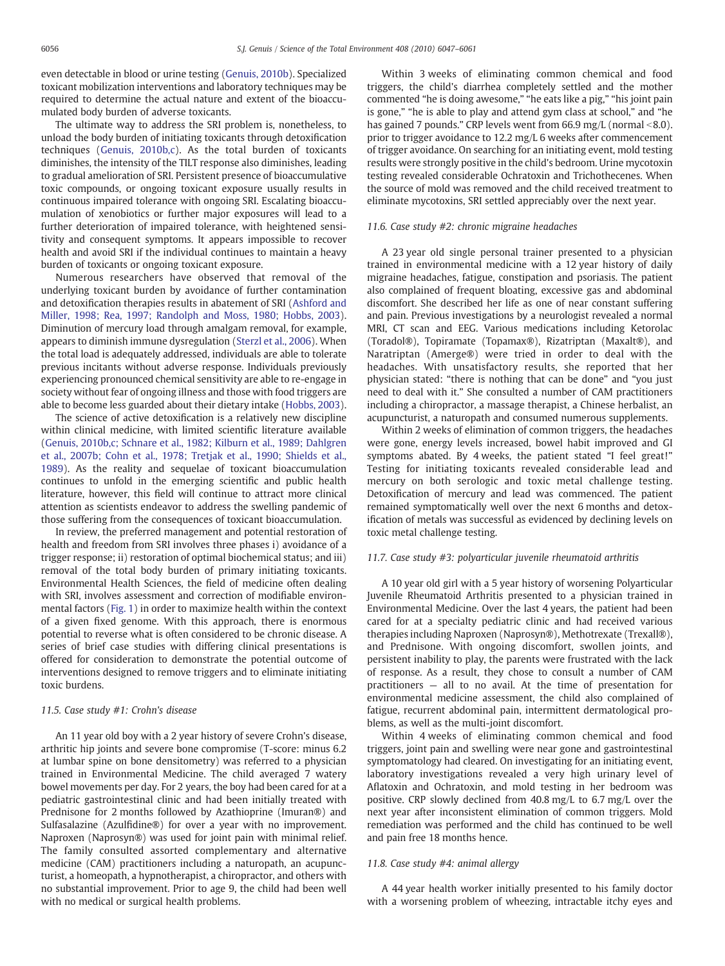even detectable in blood or urine testing [\(Genuis, 2010b](#page-12-0)). Specialized toxicant mobilization interventions and laboratory techniques may be required to determine the actual nature and extent of the bioaccumulated body burden of adverse toxicants.

The ultimate way to address the SRI problem is, nonetheless, to unload the body burden of initiating toxicants through detoxification techniques ([Genuis, 2010b,c\)](#page-12-0). As the total burden of toxicants diminishes, the intensity of the TILT response also diminishes, leading to gradual amelioration of SRI. Persistent presence of bioaccumulative toxic compounds, or ongoing toxicant exposure usually results in continuous impaired tolerance with ongoing SRI. Escalating bioaccumulation of xenobiotics or further major exposures will lead to a further deterioration of impaired tolerance, with heightened sensitivity and consequent symptoms. It appears impossible to recover health and avoid SRI if the individual continues to maintain a heavy burden of toxicants or ongoing toxicant exposure.

Numerous researchers have observed that removal of the underlying toxicant burden by avoidance of further contamination and detoxification therapies results in abatement of SRI ([Ashford and](#page-11-0) [Miller, 1998; Rea, 1997; Randolph and Moss, 1980; Hobbs, 2003](#page-11-0)). Diminution of mercury load through amalgam removal, for example, appears to diminish immune dysregulation [\(Sterzl et al., 2006\)](#page-14-0). When the total load is adequately addressed, individuals are able to tolerate previous incitants without adverse response. Individuals previously experiencing pronounced chemical sensitivity are able to re-engage in society without fear of ongoing illness and those with food triggers are able to become less guarded about their dietary intake ([Hobbs, 2003](#page-12-0)).

The science of active detoxification is a relatively new discipline within clinical medicine, with limited scientific literature available [\(Genuis, 2010b,c; Schnare et al., 1982; Kilburn et al., 1989; Dahlgren](#page-12-0) [et al., 2007b; Cohn et al., 1978; Tretjak et al., 1990; Shields et al.,](#page-12-0) [1989](#page-12-0)). As the reality and sequelae of toxicant bioaccumulation continues to unfold in the emerging scientific and public health literature, however, this field will continue to attract more clinical attention as scientists endeavor to address the swelling pandemic of those suffering from the consequences of toxicant bioaccumulation.

In review, the preferred management and potential restoration of health and freedom from SRI involves three phases i) avoidance of a trigger response; ii) restoration of optimal biochemical status; and iii) removal of the total body burden of primary initiating toxicants. Environmental Health Sciences, the field of medicine often dealing with SRI, involves assessment and correction of modifiable environmental factors [\(Fig. 1\)](#page-2-0) in order to maximize health within the context of a given fixed genome. With this approach, there is enormous potential to reverse what is often considered to be chronic disease. A series of brief case studies with differing clinical presentations is offered for consideration to demonstrate the potential outcome of interventions designed to remove triggers and to eliminate initiating toxic burdens.

#### 11.5. Case study #1: Crohn's disease

An 11 year old boy with a 2 year history of severe Crohn's disease, arthritic hip joints and severe bone compromise (T-score: minus 6.2 at lumbar spine on bone densitometry) was referred to a physician trained in Environmental Medicine. The child averaged 7 watery bowel movements per day. For 2 years, the boy had been cared for at a pediatric gastrointestinal clinic and had been initially treated with Prednisone for 2 months followed by Azathioprine (Imuran®) and Sulfasalazine (Azulfidine®) for over a year with no improvement. Naproxen (Naprosyn®) was used for joint pain with minimal relief. The family consulted assorted complementary and alternative medicine (CAM) practitioners including a naturopath, an acupuncturist, a homeopath, a hypnotherapist, a chiropractor, and others with no substantial improvement. Prior to age 9, the child had been well with no medical or surgical health problems.

Within 3 weeks of eliminating common chemical and food triggers, the child's diarrhea completely settled and the mother commented "he is doing awesome," "he eats like a pig," "his joint pain is gone," "he is able to play and attend gym class at school," and "he has gained 7 pounds." CRP levels went from 66.9 mg/L (normal  $<8.0$ ). prior to trigger avoidance to 12.2 mg/L 6 weeks after commencement of trigger avoidance. On searching for an initiating event, mold testing results were strongly positive in the child's bedroom. Urine mycotoxin testing revealed considerable Ochratoxin and Trichothecenes. When the source of mold was removed and the child received treatment to eliminate mycotoxins, SRI settled appreciably over the next year.

#### 11.6. Case study #2: chronic migraine headaches

A 23 year old single personal trainer presented to a physician trained in environmental medicine with a 12 year history of daily migraine headaches, fatigue, constipation and psoriasis. The patient also complained of frequent bloating, excessive gas and abdominal discomfort. She described her life as one of near constant suffering and pain. Previous investigations by a neurologist revealed a normal MRI, CT scan and EEG. Various medications including Ketorolac (Toradol®), Topiramate (Topamax®), Rizatriptan (Maxalt®), and Naratriptan (Amerge®) were tried in order to deal with the headaches. With unsatisfactory results, she reported that her physician stated: "there is nothing that can be done" and "you just need to deal with it." She consulted a number of CAM practitioners including a chiropractor, a massage therapist, a Chinese herbalist, an acupuncturist, a naturopath and consumed numerous supplements.

Within 2 weeks of elimination of common triggers, the headaches were gone, energy levels increased, bowel habit improved and GI symptoms abated. By 4 weeks, the patient stated "I feel great!" Testing for initiating toxicants revealed considerable lead and mercury on both serologic and toxic metal challenge testing. Detoxification of mercury and lead was commenced. The patient remained symptomatically well over the next 6 months and detoxification of metals was successful as evidenced by declining levels on toxic metal challenge testing.

#### 11.7. Case study #3: polyarticular juvenile rheumatoid arthritis

A 10 year old girl with a 5 year history of worsening Polyarticular Juvenile Rheumatoid Arthritis presented to a physician trained in Environmental Medicine. Over the last 4 years, the patient had been cared for at a specialty pediatric clinic and had received various therapies including Naproxen (Naprosyn®), Methotrexate (Trexall®), and Prednisone. With ongoing discomfort, swollen joints, and persistent inability to play, the parents were frustrated with the lack of response. As a result, they chose to consult a number of CAM practitioners — all to no avail. At the time of presentation for environmental medicine assessment, the child also complained of fatigue, recurrent abdominal pain, intermittent dermatological problems, as well as the multi-joint discomfort.

Within 4 weeks of eliminating common chemical and food triggers, joint pain and swelling were near gone and gastrointestinal symptomatology had cleared. On investigating for an initiating event, laboratory investigations revealed a very high urinary level of Aflatoxin and Ochratoxin, and mold testing in her bedroom was positive. CRP slowly declined from 40.8 mg/L to 6.7 mg/L over the next year after inconsistent elimination of common triggers. Mold remediation was performed and the child has continued to be well and pain free 18 months hence.

#### 11.8. Case study #4: animal allergy

A 44 year health worker initially presented to his family doctor with a worsening problem of wheezing, intractable itchy eyes and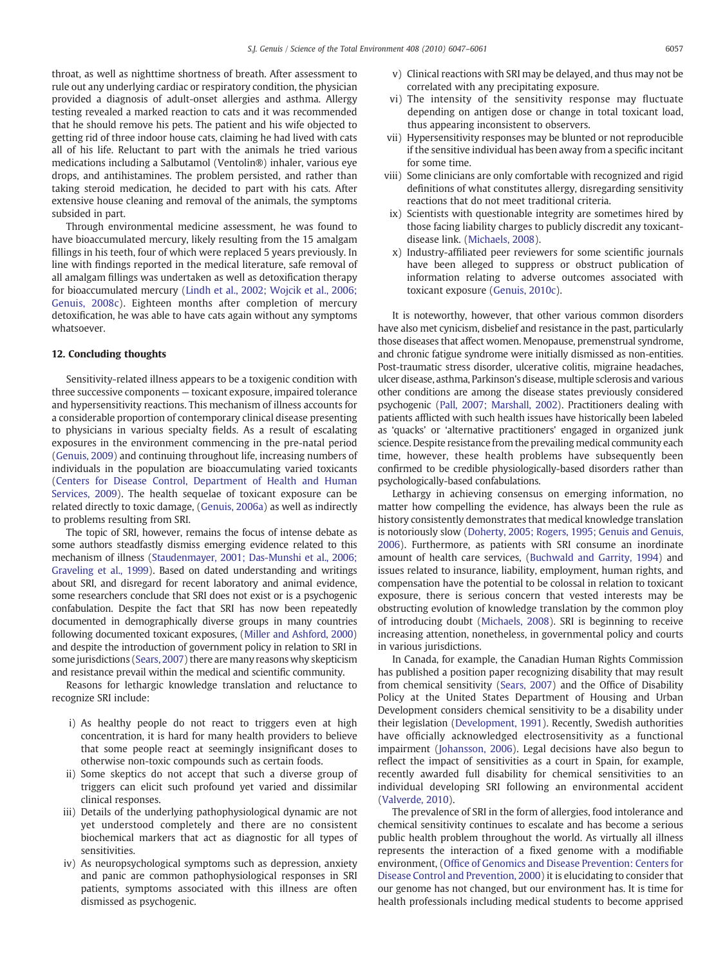throat, as well as nighttime shortness of breath. After assessment to rule out any underlying cardiac or respiratory condition, the physician provided a diagnosis of adult-onset allergies and asthma. Allergy testing revealed a marked reaction to cats and it was recommended that he should remove his pets. The patient and his wife objected to getting rid of three indoor house cats, claiming he had lived with cats all of his life. Reluctant to part with the animals he tried various medications including a Salbutamol (Ventolin®) inhaler, various eye drops, and antihistamines. The problem persisted, and rather than taking steroid medication, he decided to part with his cats. After extensive house cleaning and removal of the animals, the symptoms subsided in part.

Through environmental medicine assessment, he was found to have bioaccumulated mercury, likely resulting from the 15 amalgam fillings in his teeth, four of which were replaced 5 years previously. In line with findings reported in the medical literature, safe removal of all amalgam fillings was undertaken as well as detoxification therapy for bioaccumulated mercury ([Lindh et al., 2002; Wojcik et al., 2006;](#page-13-0) [Genuis, 2008c\)](#page-13-0). Eighteen months after completion of mercury detoxification, he was able to have cats again without any symptoms whatsoever.

#### 12. Concluding thoughts

Sensitivity-related illness appears to be a toxigenic condition with three successive components — toxicant exposure, impaired tolerance and hypersensitivity reactions. This mechanism of illness accounts for a considerable proportion of contemporary clinical disease presenting to physicians in various specialty fields. As a result of escalating exposures in the environment commencing in the pre-natal period [\(Genuis, 2009](#page-12-0)) and continuing throughout life, increasing numbers of individuals in the population are bioaccumulating varied toxicants [\(Centers for Disease Control, Department of Health and Human](#page-11-0) [Services, 2009](#page-11-0)). The health sequelae of toxicant exposure can be related directly to toxic damage, [\(Genuis, 2006a](#page-12-0)) as well as indirectly to problems resulting from SRI.

The topic of SRI, however, remains the focus of intense debate as some authors steadfastly dismiss emerging evidence related to this mechanism of illness [\(Staudenmayer, 2001; Das-Munshi et al., 2006;](#page-13-0) [Graveling et al., 1999](#page-13-0)). Based on dated understanding and writings about SRI, and disregard for recent laboratory and animal evidence, some researchers conclude that SRI does not exist or is a psychogenic confabulation. Despite the fact that SRI has now been repeatedly documented in demographically diverse groups in many countries following documented toxicant exposures, ([Miller and Ashford, 2000](#page-13-0)) and despite the introduction of government policy in relation to SRI in some jurisdictions ([Sears, 2007](#page-13-0)) there are many reasons why skepticism and resistance prevail within the medical and scientific community.

Reasons for lethargic knowledge translation and reluctance to recognize SRI include:

- i) As healthy people do not react to triggers even at high concentration, it is hard for many health providers to believe that some people react at seemingly insignificant doses to otherwise non-toxic compounds such as certain foods.
- ii) Some skeptics do not accept that such a diverse group of triggers can elicit such profound yet varied and dissimilar clinical responses.
- iii) Details of the underlying pathophysiological dynamic are not yet understood completely and there are no consistent biochemical markers that act as diagnostic for all types of sensitivities.
- iv) As neuropsychological symptoms such as depression, anxiety and panic are common pathophysiological responses in SRI patients, symptoms associated with this illness are often dismissed as psychogenic.
- v) Clinical reactions with SRI may be delayed, and thus may not be correlated with any precipitating exposure.
- vi) The intensity of the sensitivity response may fluctuate depending on antigen dose or change in total toxicant load, thus appearing inconsistent to observers.
- vii) Hypersensitivity responses may be blunted or not reproducible if the sensitive individual has been away from a specific incitant for some time.
- viii) Some clinicians are only comfortable with recognized and rigid definitions of what constitutes allergy, disregarding sensitivity reactions that do not meet traditional criteria.
- ix) Scientists with questionable integrity are sometimes hired by those facing liability charges to publicly discredit any toxicantdisease link. ([Michaels, 2008](#page-13-0)).
- x) Industry-affiliated peer reviewers for some scientific journals have been alleged to suppress or obstruct publication of information relating to adverse outcomes associated with toxicant exposure ([Genuis, 2010c\)](#page-12-0).

It is noteworthy, however, that other various common disorders have also met cynicism, disbelief and resistance in the past, particularly those diseases that affect women. Menopause, premenstrual syndrome, and chronic fatigue syndrome were initially dismissed as non-entities. Post-traumatic stress disorder, ulcerative colitis, migraine headaches, ulcer disease, asthma, Parkinson's disease, multiple sclerosis and various other conditions are among the disease states previously considered psychogenic [\(Pall, 2007; Marshall, 2002\)](#page-13-0). Practitioners dealing with patients afflicted with such health issues have historically been labeled as 'quacks' or 'alternative practitioners' engaged in organized junk science. Despite resistance from the prevailing medical community each time, however, these health problems have subsequently been confirmed to be credible physiologically-based disorders rather than psychologically-based confabulations.

Lethargy in achieving consensus on emerging information, no matter how compelling the evidence, has always been the rule as history consistently demonstrates that medical knowledge translation is notoriously slow [\(Doherty, 2005; Rogers, 1995; Genuis and Genuis,](#page-11-0) [2006\)](#page-11-0). Furthermore, as patients with SRI consume an inordinate amount of health care services, ([Buchwald and Garrity, 1994](#page-11-0)) and issues related to insurance, liability, employment, human rights, and compensation have the potential to be colossal in relation to toxicant exposure, there is serious concern that vested interests may be obstructing evolution of knowledge translation by the common ploy of introducing doubt ([Michaels, 2008](#page-13-0)). SRI is beginning to receive increasing attention, nonetheless, in governmental policy and courts in various jurisdictions.

In Canada, for example, the Canadian Human Rights Commission has published a position paper recognizing disability that may result from chemical sensitivity [\(Sears, 2007\)](#page-13-0) and the Office of Disability Policy at the United States Department of Housing and Urban Development considers chemical sensitivity to be a disability under their legislation [\(Development, 1991\)](#page-11-0). Recently, Swedish authorities have officially acknowledged electrosensitivity as a functional impairment ([Johansson, 2006](#page-12-0)). Legal decisions have also begun to reflect the impact of sensitivities as a court in Spain, for example, recently awarded full disability for chemical sensitivities to an individual developing SRI following an environmental accident [\(Valverde, 2010\)](#page-14-0).

The prevalence of SRI in the form of allergies, food intolerance and chemical sensitivity continues to escalate and has become a serious public health problem throughout the world. As virtually all illness represents the interaction of a fixed genome with a modifiable environment, (Offi[ce of Genomics and Disease Prevention: Centers for](#page-13-0) [Disease Control and Prevention, 2000](#page-13-0)) it is elucidating to consider that our genome has not changed, but our environment has. It is time for health professionals including medical students to become apprised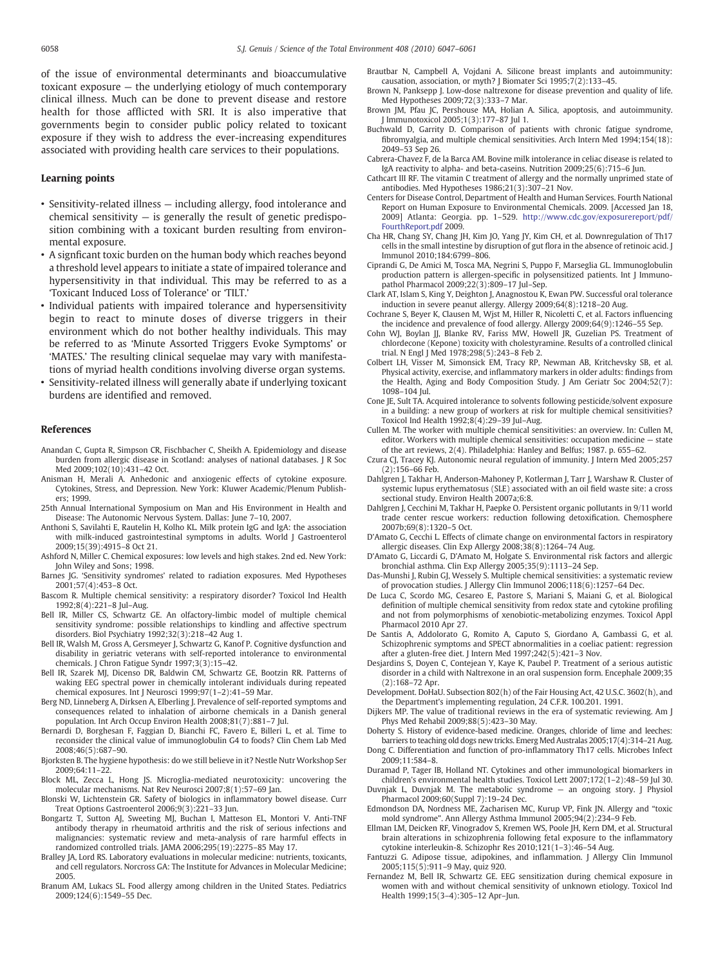<span id="page-11-0"></span>of the issue of environmental determinants and bioaccumulative toxicant exposure — the underlying etiology of much contemporary clinical illness. Much can be done to prevent disease and restore health for those afflicted with SRI. It is also imperative that governments begin to consider public policy related to toxicant exposure if they wish to address the ever-increasing expenditures associated with providing health care services to their populations.

#### Learning points

- Sensitivity-related illness including allergy, food intolerance and chemical sensitivity  $-$  is generally the result of genetic predisposition combining with a toxicant burden resulting from environmental exposure.
- A signficant toxic burden on the human body which reaches beyond a threshold level appears to initiate a state of impaired tolerance and hypersensitivity in that individual. This may be referred to as a 'Toxicant Induced Loss of Tolerance' or 'TILT.'
- Individual patients with impaired tolerance and hypersensitivity begin to react to minute doses of diverse triggers in their environment which do not bother healthy individuals. This may be referred to as 'Minute Assorted Triggers Evoke Symptoms' or 'MATES.' The resulting clinical sequelae may vary with manifestations of myriad health conditions involving diverse organ systems.
- Sensitivity-related illness will generally abate if underlying toxicant burdens are identified and removed.

#### References

- Anandan C, Gupta R, Simpson CR, Fischbacher C, Sheikh A. Epidemiology and disease burden from allergic disease in Scotland: analyses of national databases. J R Soc Med 2009;102(10):431–42 Oct.
- Anisman H, Merali A. Anhedonic and anxiogenic effects of cytokine exposure. Cytokines, Stress, and Depression. New York: Kluwer Academic/Plenum Publishers; 1999.
- 25th Annual International Symposium on Man and His Environment in Health and Disease: The Autonomic Nervous System. Dallas: June 7–10, 2007.
- Anthoni S, Savilahti E, Rautelin H, Kolho KL. Milk protein IgG and IgA: the association with milk-induced gastrointestinal symptoms in adults. World J Gastroenterol 2009;15(39):4915–8 Oct 21.
- Ashford N, Miller C. Chemical exposures: low levels and high stakes. 2nd ed. New York: John Wiley and Sons; 1998.
- Barnes JG. 'Sensitivity syndromes' related to radiation exposures. Med Hypotheses 2001;57(4):453–8 Oct.
- Bascom R. Multiple chemical sensitivity: a respiratory disorder? Toxicol Ind Health 1992;8(4):221–8 Jul–Aug.
- Bell IR, Miller CS, Schwartz GE. An olfactory-limbic model of multiple chemical sensitivity syndrome: possible relationships to kindling and affective spectrum disorders. Biol Psychiatry 1992;32(3):218–42 Aug 1.
- Bell IR, Walsh M, Gross A, Gersmeyer J, Schwartz G, Kanof P. Cognitive dysfunction and disability in geriatric veterans with self-reported intolerance to environmental chemicals. J Chron Fatigue Syndr 1997;3(3):15–42.
- Bell IR, Szarek MJ, Dicenso DR, Baldwin CM, Schwartz GE, Bootzin RR. Patterns of waking EEG spectral power in chemically intolerant individuals during repeated chemical exposures. Int J Neurosci 1999;97(1-2):41-59 Mar.
- Berg ND, Linneberg A, Dirksen A, Elberling J. Prevalence of self-reported symptoms and consequences related to inhalation of airborne chemicals in a Danish general population. Int Arch Occup Environ Health 2008;81(7):881–7 Jul.
- Bernardi D, Borghesan F, Faggian D, Bianchi FC, Favero E, Billeri L, et al. Time to reconsider the clinical value of immunoglobulin G4 to foods? Clin Chem Lab Med 2008;46(5):687–90.
- Bjorksten B. The hygiene hypothesis: do we still believe in it? Nestle Nutr Workshop Ser 2009;64:11–22.
- Block ML, Zecca L, Hong JS. Microglia-mediated neurotoxicity: uncovering the molecular mechanisms. Nat Rev Neurosci 2007;8(1):57–69 Jan.
- Blonski W, Lichtenstein GR. Safety of biologics in inflammatory bowel disease. Curr Treat Options Gastroenterol 2006;9(3):221–33 Jun.
- Bongartz T, Sutton AJ, Sweeting MJ, Buchan I, Matteson EL, Montori V. Anti-TNF antibody therapy in rheumatoid arthritis and the risk of serious infections and malignancies: systematic review and meta-analysis of rare harmful effects in randomized controlled trials. JAMA 2006;295(19):2275–85 May 17.
- Bralley JA, Lord RS. Laboratory evaluations in molecular medicine: nutrients, toxicants, and cell regulators. Norcross GA: The Institute for Advances in Molecular Medicine; 2005.
- Branum AM, Lukacs SL. Food allergy among children in the United States. Pediatrics 2009;124(6):1549–55 Dec.
- Brautbar N, Campbell A, Vojdani A. Silicone breast implants and autoimmunity: causation, association, or myth? J Biomater Sci 1995;7(2):133–45.
- Brown N, Panksepp J. Low-dose naltrexone for disease prevention and quality of life. Med Hypotheses 2009;72(3):333–7 Mar.
- Brown JM, Pfau JC, Pershouse MA, Holian A. Silica, apoptosis, and autoimmunity. J Immunotoxicol 2005;1(3):177–87 Jul 1.
- Buchwald D, Garrity D. Comparison of patients with chronic fatigue syndrome, fibromyalgia, and multiple chemical sensitivities. Arch Intern Med 1994;154(18): 2049–53 Sep 26.
- Cabrera-Chavez F, de la Barca AM. Bovine milk intolerance in celiac disease is related to IgA reactivity to alpha- and beta-caseins. Nutrition 2009;25(6):715–6 Jun.
- Cathcart III RF. The vitamin C treatment of allergy and the normally unprimed state of antibodies. Med Hypotheses 1986;21(3):307–21 Nov.
- Centers for Disease Control, Department of Health and Human Services. Fourth National Report on Human Exposure to Environmental Chemicals. 2009. [Accessed Jan 18, 2009] Atlanta: Georgia. pp. 1–529. [http://www.cdc.gov/exposurereport/pdf/](http://www.cdc.gov/exposurereport/pdf/FourthReport.pdf) [FourthReport.pdf](http://www.cdc.gov/exposurereport/pdf/FourthReport.pdf) 2009.
- Cha HR, Chang SY, Chang JH, Kim JO, Yang JY, Kim CH, et al. Downregulation of Th17 cells in the small intestine by disruption of gut flora in the absence of retinoic acid. J Immunol 2010;184:6799–806.
- Ciprandi G, De Amici M, Tosca MA, Negrini S, Puppo F, Marseglia GL. Immunoglobulin production pattern is allergen-specific in polysensitized patients. Int J Immunopathol Pharmacol 2009;22(3):809–17 Jul–Sep.
- Clark AT, Islam S, King Y, Deighton J, Anagnostou K, Ewan PW. Successful oral tolerance induction in severe peanut allergy. Allergy 2009;64(8):1218–20 Aug.
- Cochrane S, Beyer K, Clausen M, Wjst M, Hiller R, Nicoletti C, et al. Factors influencing the incidence and prevalence of food allergy. Allergy 2009;64(9):1246–55 Sep.
- Cohn WJ, Boylan JJ, Blanke RV, Fariss MW, Howell JR, Guzelian PS. Treatment of chlordecone (Kepone) toxicity with cholestyramine. Results of a controlled clinical trial. N Engl J Med 1978;298(5):243–8 Feb 2.
- Colbert LH, Visser M, Simonsick EM, Tracy RP, Newman AB, Kritchevsky SB, et al. Physical activity, exercise, and inflammatory markers in older adults: findings from the Health, Aging and Body Composition Study. J Am Geriatr Soc 2004;52(7): 1098–104 Jul.
- Cone JE, Sult TA. Acquired intolerance to solvents following pesticide/solvent exposure in a building: a new group of workers at risk for multiple chemical sensitivities? Toxicol Ind Health 1992;8(4):29–39 Jul–Aug.
- Cullen M. The worker with multiple chemical sensitivities: an overview. In: Cullen M, editor. Workers with multiple chemical sensitivities: occupation medicine — state of the art reviews, 2(4). Philadelphia: Hanley and Belfus; 1987. p. 655–62.
- Czura CJ, Tracey KJ. Autonomic neural regulation of immunity. J Intern Med 2005;257 (2):156–66 Feb.
- Dahlgren J, Takhar H, Anderson-Mahoney P, Kotlerman J, Tarr J, Warshaw R. Cluster of systemic lupus erythematosus (SLE) associated with an oil field waste site: a cross sectional study. Environ Health 2007a;6:8.
- Dahlgren J, Cecchini M, Takhar H, Paepke O. Persistent organic pollutants in 9/11 world trade center rescue workers: reduction following detoxification. Chemosphere 2007b;69(8):1320–5 Oct.
- D'Amato G, Cecchi L. Effects of climate change on environmental factors in respiratory allergic diseases. Clin Exp Allergy 2008;38(8):1264–74 Aug.
- D'Amato G, Liccardi G, D'Amato M, Holgate S. Environmental risk factors and allergic bronchial asthma. Clin Exp Allergy 2005;35(9):1113–24 Sep.
- Das-Munshi J, Rubin GJ, Wessely S. Multiple chemical sensitivities: a systematic review of provocation studies. J Allergy Clin Immunol 2006;118(6):1257–64 Dec.
- De Luca C, Scordo MG, Cesareo E, Pastore S, Mariani S, Maiani G, et al. Biological definition of multiple chemical sensitivity from redox state and cytokine profiling and not from polymorphisms of xenobiotic-metabolizing enzymes. Toxicol Appl Pharmacol 2010 Apr 27.
- De Santis A, Addolorato G, Romito A, Caputo S, Giordano A, Gambassi G, et al. Schizophrenic symptoms and SPECT abnormalities in a coeliac patient: regression after a gluten-free diet. J Intern Med 1997;242(5):421–3 Nov.
- Desjardins S, Doyen C, Contejean Y, Kaye K, Paubel P. Treatment of a serious autistic disorder in a child with Naltrexone in an oral suspension form. Encephale 2009;35 (2):168–72 Apr.
- Development. DoHaU. Subsection 802(h) of the Fair Housing Act, 42 U.S.C. 3602(h), and the Department's implementing regulation, 24 C.F.R. 100.201. 1991.
- Dijkers MP. The value of traditional reviews in the era of systematic reviewing. Am J Phys Med Rehabil 2009;88(5):423–30 May.
- Doherty S. History of evidence-based medicine. Oranges, chloride of lime and leeches: barriers to teaching old dogs new tricks. Emerg Med Australas 2005;17(4):314–21 Aug.
- Dong C. Differentiation and function of pro-inflammatory Th17 cells. Microbes Infect 2009;11:584–8.
- Duramad P, Tager IB, Holland NT. Cytokines and other immunological biomarkers in children's environmental health studies. Toxicol Lett 2007;172(1–2):48–59 Jul 30.
- Duvnjak L, Duvnjak M. The metabolic syndrome an ongoing story. J Physiol Pharmacol 2009;60(Suppl 7):19–24 Dec.
- Edmondson DA, Nordness ME, Zacharisen MC, Kurup VP, Fink JN. Allergy and "toxic mold syndrome". Ann Allergy Asthma Immunol 2005;94(2):234–9 Feb.
- Ellman LM, Deicken RF, Vinogradov S, Kremen WS, Poole JH, Kern DM, et al. Structural brain alterations in schizophrenia following fetal exposure to the inflammatory cytokine interleukin-8. Schizophr Res 2010;121(1–3):46–54 Aug.
- Fantuzzi G. Adipose tissue, adipokines, and inflammation. J Allergy Clin Immunol 2005;115(5):911–9 May, quiz 920.
- Fernandez M, Bell IR, Schwartz GE. EEG sensitization during chemical exposure in women with and without chemical sensitivity of unknown etiology. Toxicol Ind Health 1999;15(3–4):305–12 Apr–Jun.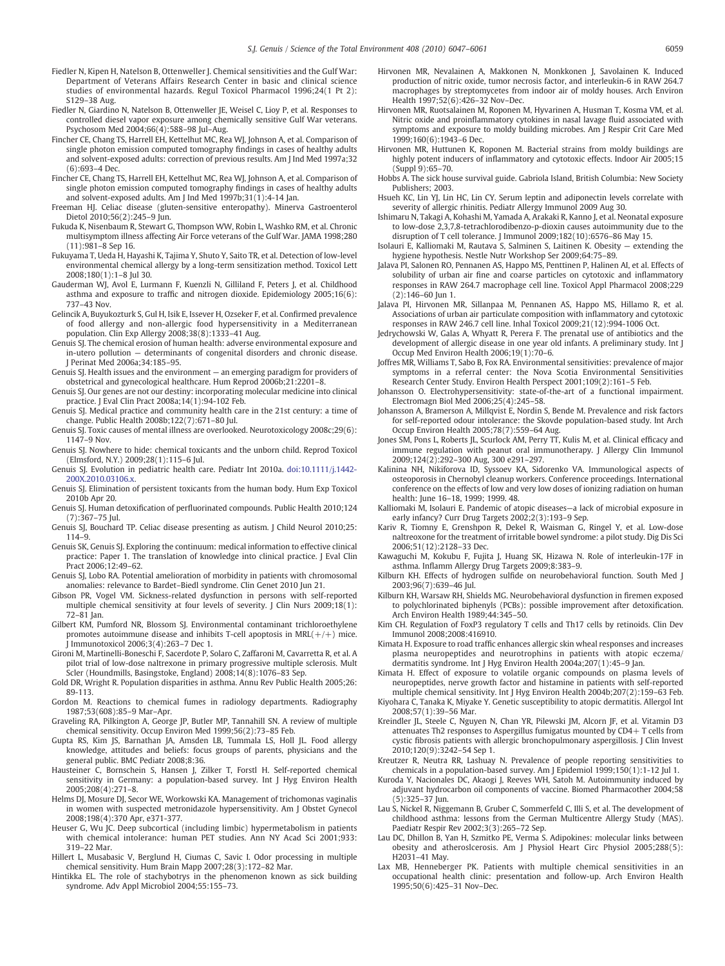- <span id="page-12-0"></span>Fiedler N, Kipen H, Natelson B, Ottenweller J. Chemical sensitivities and the Gulf War: Department of Veterans Affairs Research Center in basic and clinical science studies of environmental hazards. Regul Toxicol Pharmacol 1996;24(1 Pt 2): S129–38 Aug.
- Fiedler N, Giardino N, Natelson B, Ottenweller JE, Weisel C, Lioy P, et al. Responses to controlled diesel vapor exposure among chemically sensitive Gulf War veterans. Psychosom Med 2004;66(4):588–98 Jul–Aug.
- Fincher CE, Chang TS, Harrell EH, Kettelhut MC, Rea WJ, Johnson A, et al. Comparison of single photon emission computed tomography findings in cases of healthy adults and solvent-exposed adults: correction of previous results. Am J Ind Med 1997a;32 (6):693–4 Dec.
- Fincher CE, Chang TS, Harrell EH, Kettelhut MC, Rea WJ, Johnson A, et al. Comparison of single photon emission computed tomography findings in cases of healthy adults and solvent-exposed adults. Am J Ind Med 1997b;31(1):4-14 Jan.
- Freeman HJ. Celiac disease (gluten-sensitive enteropathy). Minerva Gastroenterol Dietol 2010;56(2):245–9 Jun.
- Fukuda K, Nisenbaum R, Stewart G, Thompson WW, Robin L, Washko RM, et al. Chronic multisymptom illness affecting Air Force veterans of the Gulf War. JAMA 1998;280 (11):981–8 Sep 16.
- Fukuyama T, Ueda H, Hayashi K, Tajima Y, Shuto Y, Saito TR, et al. Detection of low-level environmental chemical allergy by a long-term sensitization method. Toxicol Lett 2008;180(1):1–8 Jul 30.
- Gauderman WJ, Avol E, Lurmann F, Kuenzli N, Gilliland F, Peters J, et al. Childhood asthma and exposure to traffic and nitrogen dioxide. Epidemiology 2005;16(6): 737–43 Nov.
- Gelincik A, Buyukozturk S, Gul H, Isik E, Issever H, Ozseker F, et al. Confirmed prevalence of food allergy and non-allergic food hypersensitivity in a Mediterranean population. Clin Exp Allergy 2008;38(8):1333–41 Aug.
- Genuis SJ. The chemical erosion of human health: adverse environmental exposure and in-utero pollution — determinants of congenital disorders and chronic disease. J Perinat Med 2006a;34:185–95.
- Genuis SJ. Health issues and the environment an emerging paradigm for providers of obstetrical and gynecological healthcare. Hum Reprod 2006b;21:2201–8.
- Genuis SJ. Our genes are not our destiny: incorporating molecular medicine into clinical practice. J Eval Clin Pract 2008a;14(1):94-102 Feb.
- Genuis SJ. Medical practice and community health care in the 21st century: a time of change. Public Health 2008b;122(7):671–80 Jul.
- Genuis SJ. Toxic causes of mental illness are overlooked. Neurotoxicology 2008c;29(6): 1147–9 Nov.
- Genuis SJ. Nowhere to hide: chemical toxicants and the unborn child. Reprod Toxicol (Elmsford, N.Y.) 2009;28(1):115–6 Jul.
- Genuis SJ. Evolution in pediatric health care. Pediatr Int 2010a. doi[:10.1111/j.1442-](http://dx.doi.org/10.1111/j.1442-.2010.03106.x) [200X.2010.03106.x](http://dx.doi.org/10.1111/j.1442-.2010.03106.x).
- Genuis SJ. Elimination of persistent toxicants from the human body. Hum Exp Toxicol 2010b Apr 20.
- Genuis SJ. Human detoxification of perfluorinated compounds. Public Health 2010;124 (7):367–75 Jul.
- Genuis SJ, Bouchard TP. Celiac disease presenting as autism. J Child Neurol 2010;25: 114–9.
- Genuis SK, Genuis SJ. Exploring the continuum: medical information to effective clinical practice: Paper 1. The translation of knowledge into clinical practice. J Eval Clin Pract 2006;12:49–62.
- Genuis SJ, Lobo RA. Potential amelioration of morbidity in patients with chromosomal anomalies: relevance to Bardet–Biedl syndrome. Clin Genet 2010 Jun 21.
- Gibson PR, Vogel VM. Sickness-related dysfunction in persons with self-reported multiple chemical sensitivity at four levels of severity. J Clin Nurs 2009;18(1): 72–81 Jan.
- Gilbert KM, Pumford NR, Blossom SJ. Environmental contaminant trichloroethylene promotes autoimmune disease and inhibits T-cell apoptosis in  $MRL(+/+)$  mice. J Immunotoxicol 2006;3(4):263–7 Dec 1.
- Gironi M, Martinelli-Boneschi F, Sacerdote P, Solaro C, Zaffaroni M, Cavarretta R, et al. A pilot trial of low-dose naltrexone in primary progressive multiple sclerosis. Mult Scler (Houndmills, Basingstoke, England) 2008;14(8):1076–83 Sep.
- Gold DR, Wright R. Population disparities in asthma. Annu Rev Public Health 2005;26: 89-113.
- Gordon M. Reactions to chemical fumes in radiology departments. Radiography 1987;53(608):85–9 Mar–Apr.
- Graveling RA, Pilkington A, George JP, Butler MP, Tannahill SN. A review of multiple chemical sensitivity. Occup Environ Med 1999;56(2):73–85 Feb.
- Gupta RS, Kim JS, Barnathan JA, Amsden LB, Tummala LS, Holl JL. Food allergy knowledge, attitudes and beliefs: focus groups of parents, physicians and the general public. BMC Pediatr 2008;8:36.
- Hausteiner C, Bornschein S, Hansen J, Zilker T, Forstl H, Self-reported chemical sensitivity in Germany: a population-based survey. Int J Hyg Environ Health 2005;208(4):271–8.
- Helms DJ, Mosure DJ, Secor WE, Workowski KA. Management of trichomonas vaginalis in women with suspected metronidazole hypersensitivity. Am J Obstet Gynecol 2008;198(4):370 Apr, e371-377.
- Heuser G, Wu JC. Deep subcortical (including limbic) hypermetabolism in patients with chemical intolerance: human PET studies. Ann NY Acad Sci 2001;933: 319–22 Mar.
- Hillert L, Musabasic V, Berglund H, Ciumas C, Savic I. Odor processing in multiple chemical sensitivity. Hum Brain Mapp 2007;28(3):172–82 Mar.
- Hintikka EL. The role of stachybotrys in the phenomenon known as sick building syndrome. Adv Appl Microbiol 2004;55:155–73.
- Hirvonen MR, Nevalainen A, Makkonen N, Monkkonen J, Savolainen K. Induced production of nitric oxide, tumor necrosis factor, and interleukin-6 in RAW 264.7 macrophages by streptomycetes from indoor air of moldy houses. Arch Environ Health 1997;52(6):426–32 Nov–Dec.
- Hirvonen MR, Ruotsalainen M, Roponen M, Hyvarinen A, Husman T, Kosma VM, et al. Nitric oxide and proinflammatory cytokines in nasal lavage fluid associated with symptoms and exposure to moldy building microbes. Am I Respir Crit Care Med 1999;160(6):1943–6 Dec.
- Hirvonen MR, Huttunen K, Roponen M. Bacterial strains from moldy buildings are highly potent inducers of inflammatory and cytotoxic effects. Indoor Air 2005;15 (Suppl 9):65–70.
- Hobbs A. The sick house survival guide. Gabriola Island, British Columbia: New Society Publishers; 2003.
- Hsueh KC, Lin YJ, Lin HC, Lin CY. Serum leptin and adiponectin levels correlate with severity of allergic rhinitis. Pediatr Allergy Immunol 2009 Aug 30.
- Ishimaru N, Takagi A, Kohashi M, Yamada A, Arakaki R, Kanno J, et al. Neonatal exposure to low-dose 2,3,7,8-tetrachlorodibenzo-p-dioxin causes autoimmunity due to the disruption of T cell tolerance. J Immunol 2009;182(10):6576–86 May 15.
- Isolauri E, Kalliomaki M, Rautava S, Salminen S, Laitinen K. Obesity extending the hygiene hypothesis. Nestle Nutr Workshop Ser 2009;64:75–89.
- Jalava PI, Salonen RO, Pennanen AS, Happo MS, Penttinen P, Halinen AI, et al. Effects of solubility of urban air fine and coarse particles on cytotoxic and inflammatory responses in RAW 264.7 macrophage cell line. Toxicol Appl Pharmacol 2008;229 (2):146–60 Jun 1.
- Jalava PI, Hirvonen MR, Sillanpaa M, Pennanen AS, Happo MS, Hillamo R, et al. Associations of urban air particulate composition with inflammatory and cytotoxic responses in RAW 246.7 cell line. Inhal Toxicol 2009;21(12):994-1006 Oct.
- Jedrychowski W, Galas A, Whyatt R, Perera F. The prenatal use of antibiotics and the development of allergic disease in one year old infants. A preliminary study. Int J Occup Med Environ Health 2006;19(1):70–6.
- Joffres MR, Williams T, Sabo B, Fox RA. Environmental sensitivities: prevalence of major symptoms in a referral center: the Nova Scotia Environmental Sensitivities Research Center Study. Environ Health Perspect 2001;109(2):161–5 Feb.
- Johansson O. Electrohypersensitivity: state-of-the-art of a functional impairment. Electromagn Biol Med 2006;25(4):245–58.
- Johansson A, Bramerson A, Millqvist E, Nordin S, Bende M. Prevalence and risk factors for self-reported odour intolerance: the Skovde population-based study. Int Arch Occup Environ Health 2005;78(7):559–64 Aug.
- Jones SM, Pons L, Roberts JL, Scurlock AM, Perry TT, Kulis M, et al. Clinical efficacy and immune regulation with peanut oral immunotherapy. J Allergy Clin Immunol 2009;124(2):292–300 Aug, 300 e291–297.
- Kalinina NH, Nikiforova ID, Syssoev KA, Sidorenko VA. Immunological aspects of osteoporosis in Chernobyl cleanup workers. Conference proceedings. International conference on the effects of low and very low doses of ionizing radiation on human health: June 16–18, 1999; 1999. 48.
- Kalliomaki M, Isolauri E. Pandemic of atopic diseases—a lack of microbial exposure in early infancy? Curr Drug Targets 2002;2(3):193–9 Sep.
- Kariv R, Tiomny E, Grenshpon R, Dekel R, Waisman G, Ringel Y, et al. Low-dose naltreoxone for the treatment of irritable bowel syndrome: a pilot study. Dig Dis Sci 2006;51(12):2128–33 Dec.
- Kawaguchi M, Kokubu F, Fujita J, Huang SK, Hizawa N. Role of interleukin-17F in asthma. Inflamm Allergy Drug Targets 2009;8:383–9.
- Kilburn KH. Effects of hydrogen sulfide on neurobehavioral function. South Med J 2003;96(7):639–46 Jul.
- Kilburn KH, Warsaw RH, Shields MG. Neurobehavioral dysfunction in firemen exposed to polychlorinated biphenyls (PCBs): possible improvement after detoxification. Arch Environ Health 1989;44:345–50.
- Kim CH. Regulation of FoxP3 regulatory T cells and Th17 cells by retinoids. Clin Dev Immunol 2008;2008:416910.
- Kimata H. Exposure to road traffic enhances allergic skin wheal responses and increases plasma neuropeptides and neurotrophins in patients with atopic eczema/ dermatitis syndrome. Int J Hyg Environ Health 2004a;207(1):45–9 Jan.
- Kimata H. Effect of exposure to volatile organic compounds on plasma levels of neuropeptides, nerve growth factor and histamine in patients with self-reported multiple chemical sensitivity. Int J Hyg Environ Health 2004b;207(2):159–63 Feb.
- Kiyohara C, Tanaka K, Miyake Y. Genetic susceptibility to atopic dermatitis. Allergol Int 2008;57(1):39–56 Mar.
- Kreindler JL, Steele C, Nguyen N, Chan YR, Pilewski JM, Alcorn JF, et al. Vitamin D3 attenuates Th2 responses to Aspergillus fumigatus mounted by CD4+ T cells from cystic fibrosis patients with allergic bronchopulmonary aspergillosis. J Clin Invest 2010;120(9):3242–54 Sep 1.
- Kreutzer R, Neutra RR, Lashuay N. Prevalence of people reporting sensitivities to chemicals in a population-based survey. Am J Epidemiol 1999;150(1):1-12 Jul 1.
- Kuroda Y, Nacionales DC, Akaogi J, Reeves WH, Satoh M. Autoimmunity induced by adjuvant hydrocarbon oil components of vaccine. Biomed Pharmacother 2004;58 (5):325–37 Jun.
- Lau S, Nickel R, Niggemann B, Gruber C, Sommerfeld C, Illi S, et al. The development of childhood asthma: lessons from the German Multicentre Allergy Study (MAS). Paediatr Respir Rev 2002;3(3):265–72 Sep.
- Lau DC, Dhillon B, Yan H, Szmitko PE, Verma S. Adipokines: molecular links between obesity and atheroslcerosis. Am J Physiol Heart Circ Physiol 2005;288(5): H2031–41 May.
- Lax MB, Henneberger PK. Patients with multiple chemical sensitivities in an occupational health clinic: presentation and follow-up. Arch Environ Health 1995;50(6):425–31 Nov–Dec.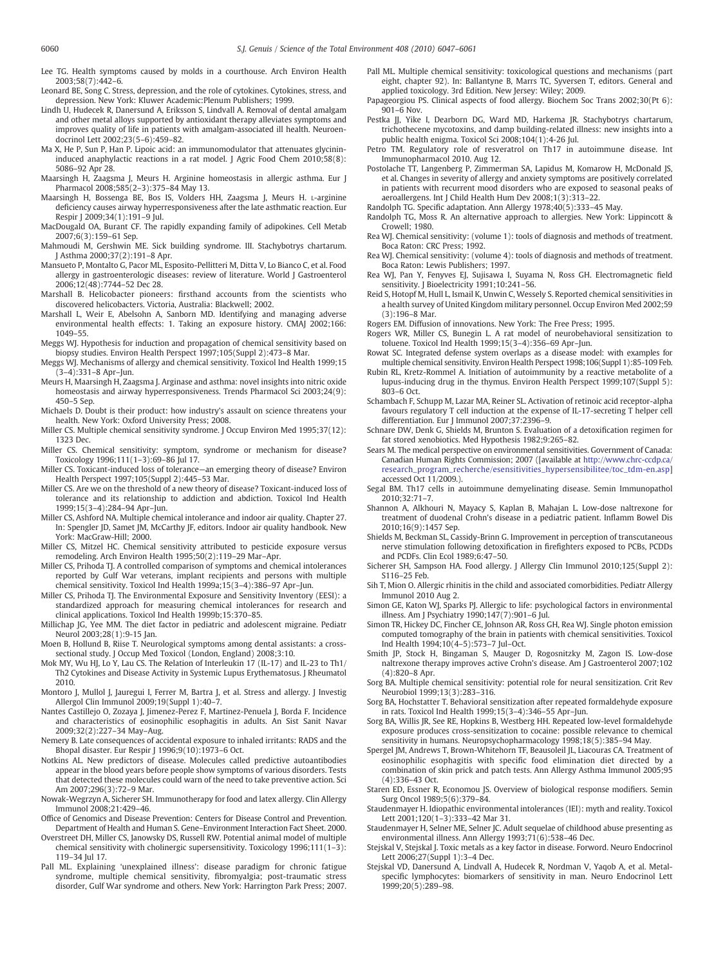<span id="page-13-0"></span>Lee TG. Health symptoms caused by molds in a courthouse. Arch Environ Health 2003;58(7):442–6.

Leonard BE, Song C. Stress, depression, and the role of cytokines. Cytokines, stress, and depression. New York: Kluwer Academic:Plenum Publishers; 1999.

- Lindh U, Hudecek R, Danersund A, Eriksson S, Lindvall A. Removal of dental amalgam and other metal alloys supported by antioxidant therapy alleviates symptoms and improves quality of life in patients with amalgam-associated ill health. Neuroendocrinol Lett 2002;23(5–6):459–82.
- Ma X, He P, Sun P, Han P. Lipoic acid: an immunomodulator that attenuates glycinininduced anaphylactic reactions in a rat model. J Agric Food Chem 2010;58(8): 5086–92 Apr 28.
- Maarsingh H, Zaagsma J, Meurs H. Arginine homeostasis in allergic asthma. Eur J
- Pharmacol 2008;585(2–3):375–84 May 13. Maarsingh H, Bossenga BE, Bos IS, Volders HH, Zaagsma J, Meurs H. L-arginine deficiency causes airway hyperresponsiveness after the late asthmatic reaction. Eur Respir J 2009;34(1):191–9 Jul.
- MacDougald OA, Burant CF. The rapidly expanding family of adipokines. Cell Metab 2007;6(3):159–61 Sep.
- Mahmoudi M, Gershwin ME. Sick building syndrome. III. Stachybotrys chartarum. J Asthma 2000;37(2):191–8 Apr.
- Mansueto P, Montalto G, Pacor ML, Esposito-Pellitteri M, Ditta V, Lo Bianco C, et al. Food allergy in gastroenterologic diseases: review of literature. World J Gastroenterol 2006;12(48):7744–52 Dec 28.
- Marshall B. Helicobacter pioneers: firsthand accounts from the scientists who discovered helicobacters. Victoria, Australia: Blackwell; 2002.
- Marshall L, Weir E, Abelsohn A, Sanborn MD. Identifying and managing adverse environmental health effects: 1. Taking an exposure history. CMAJ 2002;166: 1049–55.
- Meggs WJ. Hypothesis for induction and propagation of chemical sensitivity based on biopsy studies. Environ Health Perspect 1997;105(Suppl 2):473–8 Mar.
- Meggs WJ. Mechanisms of allergy and chemical sensitivity. Toxicol Ind Health 1999;15 (3–4):331–8 Apr–Jun.
- Meurs H, Maarsingh H, Zaagsma J. Arginase and asthma: novel insights into nitric oxide homeostasis and airway hyperresponsiveness. Trends Pharmacol Sci 2003;24(9): 450–5 Sep.
- Michaels D. Doubt is their product: how industry's assault on science threatens your health. New York: Oxford University Press; 2008.
- Miller CS. Multiple chemical sensitivity syndrome. J Occup Environ Med 1995;37(12): 1323 Dec.
- Miller CS. Chemical sensitivity: symptom, syndrome or mechanism for disease? Toxicology 1996;111(1–3):69–86 Jul 17.
- Miller CS. Toxicant-induced loss of tolerance—an emerging theory of disease? Environ Health Perspect 1997;105(Suppl 2):445–53 Mar.
- Miller CS. Are we on the threshold of a new theory of disease? Toxicant-induced loss of tolerance and its relationship to addiction and abdiction. Toxicol Ind Health 1999;15(3–4):284–94 Apr–Jun.
- Miller CS, Ashford NA. Multiple chemical intolerance and indoor air quality. Chapter 27. In: Spengler JD, Samet JM, McCarthy JF, editors. Indoor air quality handbook. New York: MacGraw-Hill; 2000.
- Miller CS, Mitzel HC. Chemical sensitivity attributed to pesticide exposure versus remodeling. Arch Environ Health 1995;50(2):119–29 Mar–Apr.
- Miller CS, Prihoda TJ. A controlled comparison of symptoms and chemical intolerances reported by Gulf War veterans, implant recipients and persons with multiple chemical sensitivity. Toxicol Ind Health 1999a;15(3–4):386–97 Apr–Jun.
- Miller CS, Prihoda TJ. The Environmental Exposure and Sensitivity Inventory (EESI): a standardized approach for measuring chemical intolerances for research and clinical applications. Toxicol Ind Health 1999b;15:370–85.
- Millichap JG, Yee MM. The diet factor in pediatric and adolescent migraine. Pediatr Neurol 2003;28(1):9-15 Jan.
- Moen B, Hollund B, Riise T. Neurological symptoms among dental assistants: a crosssectional study. J Occup Med Toxicol (London, England) 2008;3:10.
- Mok MY, Wu HJ, Lo Y, Lau CS. The Relation of Interleukin 17 (IL-17) and IL-23 to Th1/ Th2 Cytokines and Disease Activity in Systemic Lupus Erythematosus. J Rheumatol 2010.
- Montoro J, Mullol J, Jauregui I, Ferrer M, Bartra J, et al. Stress and allergy. J Investig Allergol Clin Immunol 2009;19(Suppl 1):40–7.
- Nantes Castillejo O, Zozaya J, Jimenez-Perez F, Martinez-Penuela J, Borda F. Incidence and characteristics of eosinophilic esophagitis in adults. An Sist Sanit Navar 2009;32(2):227–34 May–Aug.
- Nemery B. Late consequences of accidental exposure to inhaled irritants: RADS and the Bhopal disaster. Eur Respir J 1996;9(10):1973–6 Oct.
- Notkins AL. New predictors of disease. Molecules called predictive autoantibodies appear in the blood years before people show symptoms of various disorders. Tests that detected these molecules could warn of the need to take preventive action. Sci Am 2007;296(3):72–9 Mar.
- Nowak-Wegrzyn A, Sicherer SH. Immunotherapy for food and latex allergy. Clin Allergy Immunol 2008;21:429–46.
- Office of Genomics and Disease Prevention: Centers for Disease Control and Prevention. Department of Health and Human S. Gene–Environment Interaction Fact Sheet. 2000.
- Overstreet DH, Miller CS, Janowsky DS, Russell RW. Potential animal model of multiple chemical sensitivity with cholinergic supersensitivity. Toxicology 1996;111(1–3): 119–34 Jul 17.
- Pall ML. Explaining 'unexplained illness': disease paradigm for chronic fatigue syndrome, multiple chemical sensitivity, fibromyalgia; post-traumatic stress disorder, Gulf War syndrome and others. New York: Harrington Park Press; 2007.
- Pall ML. Multiple chemical sensitivity: toxicological questions and mechanisms (part eight, chapter 92). In: Ballantyne B, Marrs TC, Syversen T, editors. General and applied toxicology. 3rd Edition. New Jersey: Wiley; 2009.
- Papageorgiou PS. Clinical aspects of food allergy. Biochem Soc Trans 2002;30(Pt 6): 901–6 Nov.
- Pestka JJ, Yike I, Dearborn DG, Ward MD, Harkema JR. Stachybotrys chartarum, trichothecene mycotoxins, and damp building-related illness: new insights into a public health enigma. Toxicol Sci 2008;104(1):4-26 Jul.
- Petro TM. Regulatory role of resveratrol on Th17 in autoimmune disease. Int Immunopharmacol 2010. Aug 12.
- Postolache TT, Langenberg P, Zimmerman SA, Lapidus M, Komarow H, McDonald JS, et al. Changes in severity of allergy and anxiety symptoms are positively correlated in patients with recurrent mood disorders who are exposed to seasonal peaks of aeroallergens. Int J Child Health Hum Dev 2008;1(3):313–22.
- Randolph TG. Specific adaptation. Ann Allergy 1978;40(5):333–45 May.
- Randolph TG, Moss R. An alternative approach to allergies. New York: Lippincott & Crowell; 1980. Rea WJ. Chemical sensitivity: (volume 1): tools of diagnosis and methods of treatment.
- Boca Raton: CRC Press; 1992.
- Rea WJ. Chemical sensitivity: (volume 4): tools of diagnosis and methods of treatment. Boca Raton: Lewis Publishers; 1997.
- Rea WJ, Pan Y, Fenyves EJ, Sujisawa I, Suyama N, Ross GH. Electromagnetic field sensitivity. J Bioelectricity 1991;10:241–56.
- Reid S, Hotopf M, Hull L, Ismail K, Unwin C, Wessely S. Reported chemical sensitivities in a health survey of United Kingdom military personnel. Occup Environ Med 2002;59 (3):196–8 Mar.
- Rogers EM. Diffusion of innovations. New York: The Free Press; 1995.
- Rogers WR, Miller CS, Bunegin L. A rat model of neurobehavioral sensitization to toluene. Toxicol Ind Health 1999;15(3–4):356–69 Apr–Jun.
- Rowat SC. Integrated defense system overlaps as a disease model: with examples for multiple chemical sensitivity. Environ Health Perspect 1998;106(Suppl 1):85-109 Feb.
- Rubin RL, Kretz-Rommel A. Initiation of autoimmunity by a reactive metabolite of a lupus-inducing drug in the thymus. Environ Health Perspect 1999;107(Suppl 5): 803–6 Oct.
- Schambach F, Schupp M, Lazar MA, Reiner SL. Activation of retinoic acid receptor-alpha favours regulatory T cell induction at the expense of IL-17-secreting T helper cell differentiation. Eur J Immunol 2007;37:2396–9.
- Schnare DW, Denk G, Shields M, Brunton S. Evaluation of a detoxification regimen for fat stored xenobiotics. Med Hypothesis 1982;9:265–82.
- Sears M. The medical perspective on environmental sensitivities. Government of Canada: Canadian Human Rights Commission; 2007 ([available at [http://www.chrc-ccdp.ca/](http://www.chrc-ccdp.ca/research_program_recherche/esensitivities_hypersensibilitee/toc_tdm-en.asp) [research\\_program\\_recherche/esensitivities\\_hypersensibilitee/toc\\_tdm-en.asp](http://www.chrc-ccdp.ca/research_program_recherche/esensitivities_hypersensibilitee/toc_tdm-en.asp)] accessed Oct 11/2009.).
- Segal BM. Th17 cells in autoimmune demyelinating disease. Semin Immunopathol 2010;32:71–7.
- Shannon A, Alkhouri N, Mayacy S, Kaplan B, Mahajan L. Low-dose naltrexone for treatment of duodenal Crohn's disease in a pediatric patient. Inflamm Bowel Dis 2010;16(9):1457 Sep.
- Shields M, Beckman SL, Cassidy-Brinn G. Improvement in perception of transcutaneous nerve stimulation following detoxification in firefighters exposed to PCBs, PCDDs and PCDFs. Clin Ecol 1989;6:47–50.
- Sicherer SH, Sampson HA. Food allergy. J Allergy Clin Immunol 2010;125(Suppl 2): S116–25 Feb.
- Sih T, Mion O. Allergic rhinitis in the child and associated comorbidities. Pediatr Allergy Immunol 2010 Aug 2.
- Simon GE, Katon WJ, Sparks PJ. Allergic to life: psychological factors in environmental illness. Am J Psychiatry 1990;147(7):901–6 Jul.
- Simon TR, Hickey DC, Fincher CE, Johnson AR, Ross GH, Rea WJ. Single photon emission computed tomography of the brain in patients with chemical sensitivities. Toxicol Ind Health 1994;10(4–5):573–7 Jul–Oct.
- Smith JP, Stock H, Bingaman S, Mauger D, Rogosnitzky M, Zagon IS. Low-dose naltrexone therapy improves active Crohn's disease. Am J Gastroenterol 2007;102 (4):820–8 Apr.
- Sorg BA. Multiple chemical sensitivity: potential role for neural sensitization. Crit Rev Neurobiol 1999;13(3):283–316.
- Sorg BA, Hochstatter T. Behavioral sensitization after repeated formaldehyde exposure in rats. Toxicol Ind Health 1999;15(3–4):346–55 Apr–Jun.
- Sorg BA, Willis JR, See RE, Hopkins B, Westberg HH. Repeated low-level formaldehyde exposure produces cross-sensitization to cocaine: possible relevance to chemical sensitivity in humans. Neuropsychopharmacology 1998;18(5):385–94 May.
- Spergel JM, Andrews T, Brown-Whitehorn TF, Beausoleil JL, Liacouras CA. Treatment of eosinophilic esophagitis with specific food elimination diet directed by a combination of skin prick and patch tests. Ann Allergy Asthma Immunol 2005;95 (4):336–43 Oct.
- Staren ED, Essner R, Economou JS. Overview of biological response modifiers. Semin Surg Oncol 1989;5(6):379–84.
- Staudenmayer H. Idiopathic environmental intolerances (IEI): myth and reality. Toxicol Lett 2001;120(1–3):333–42 Mar 31.
- Staudenmayer H, Selner ME, Selner JC. Adult sequelae of childhood abuse presenting as environmental illness. Ann Allergy 1993;71(6):538–46 Dec.
- Stejskal V, Stejskal J. Toxic metals as a key factor in disease. Forword. Neuro Endocrinol Lett 2006;27(Suppl 1):3–4 Dec.
- Stejskal VD, Danersund A, Lindvall A, Hudecek R, Nordman V, Yaqob A, et al. Metalspecific lymphocytes: biomarkers of sensitivity in man. Neuro Endocrinol Lett 1999;20(5):289–98.